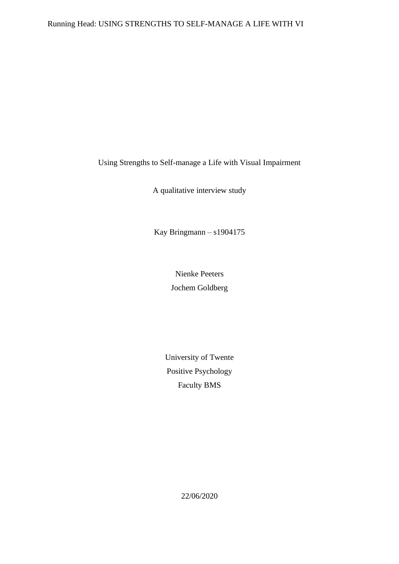## Running Head: USING STRENGTHS TO SELF-MANAGE A LIFE WITH VI

Using Strengths to Self-manage a Life with Visual Impairment

A qualitative interview study

Kay Bringmann – s1904175

Nienke Peeters Jochem Goldberg

University of Twente Positive Psychology Faculty BMS

22/06/2020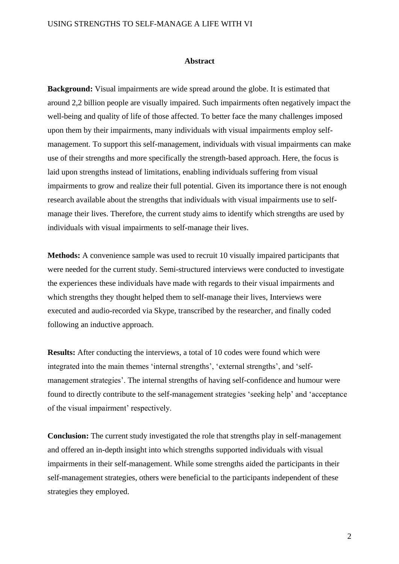#### **Abstract**

<span id="page-1-0"></span>**Background:** Visual impairments are wide spread around the globe. It is estimated that around 2,2 billion people are visually impaired. Such impairments often negatively impact the well-being and quality of life of those affected. To better face the many challenges imposed upon them by their impairments, many individuals with visual impairments employ selfmanagement. To support this self-management, individuals with visual impairments can make use of their strengths and more specifically the strength-based approach. Here, the focus is laid upon strengths instead of limitations, enabling individuals suffering from visual impairments to grow and realize their full potential. Given its importance there is not enough research available about the strengths that individuals with visual impairments use to selfmanage their lives. Therefore, the current study aims to identify which strengths are used by individuals with visual impairments to self-manage their lives.

**Methods:** A convenience sample was used to recruit 10 visually impaired participants that were needed for the current study. Semi-structured interviews were conducted to investigate the experiences these individuals have made with regards to their visual impairments and which strengths they thought helped them to self-manage their lives, Interviews were executed and audio-recorded via Skype, transcribed by the researcher, and finally coded following an inductive approach.

**Results:** After conducting the interviews, a total of 10 codes were found which were integrated into the main themes 'internal strengths', 'external strengths', and 'selfmanagement strategies'. The internal strengths of having self-confidence and humour were found to directly contribute to the self-management strategies 'seeking help' and 'acceptance of the visual impairment' respectively.

**Conclusion:** The current study investigated the role that strengths play in self-management and offered an in-depth insight into which strengths supported individuals with visual impairments in their self-management. While some strengths aided the participants in their self-management strategies, others were beneficial to the participants independent of these strategies they employed.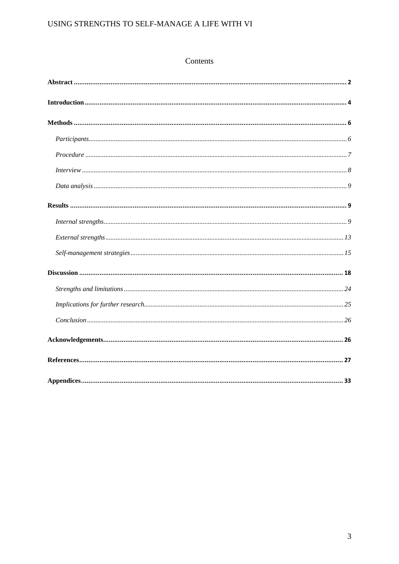### Contents

| $\emph{Procedure} \normalsize \begin{minipage}{0.9\linewidth} \emph{Procedure} \normalsize \begin{minipage}{0.9\linewidth} \emph{Procedure} \normalsize \end{minipage} \normalsize \begin{minipage}{0.9\linewidth} \emph{Procedure} \normalsize \begin{minipage}{0.9\linewidth} \emph{Procedure} \normalsize \end{minipage} \normalsize \begin{minipage}{0.9\linewidth} \emph{Procedure} \normalsize \end{minipage} \normalsize \begin{minipage}{0.9\linewidth} \emph{Procedure} \normalsize \end{minipage} \normalsize \begin{minipage}{0.9\linewidth} \emph{Procedure} \$ |
|-----------------------------------------------------------------------------------------------------------------------------------------------------------------------------------------------------------------------------------------------------------------------------------------------------------------------------------------------------------------------------------------------------------------------------------------------------------------------------------------------------------------------------------------------------------------------------|
|                                                                                                                                                                                                                                                                                                                                                                                                                                                                                                                                                                             |
|                                                                                                                                                                                                                                                                                                                                                                                                                                                                                                                                                                             |
|                                                                                                                                                                                                                                                                                                                                                                                                                                                                                                                                                                             |
|                                                                                                                                                                                                                                                                                                                                                                                                                                                                                                                                                                             |
|                                                                                                                                                                                                                                                                                                                                                                                                                                                                                                                                                                             |
|                                                                                                                                                                                                                                                                                                                                                                                                                                                                                                                                                                             |
|                                                                                                                                                                                                                                                                                                                                                                                                                                                                                                                                                                             |
|                                                                                                                                                                                                                                                                                                                                                                                                                                                                                                                                                                             |
|                                                                                                                                                                                                                                                                                                                                                                                                                                                                                                                                                                             |
|                                                                                                                                                                                                                                                                                                                                                                                                                                                                                                                                                                             |
|                                                                                                                                                                                                                                                                                                                                                                                                                                                                                                                                                                             |
|                                                                                                                                                                                                                                                                                                                                                                                                                                                                                                                                                                             |
|                                                                                                                                                                                                                                                                                                                                                                                                                                                                                                                                                                             |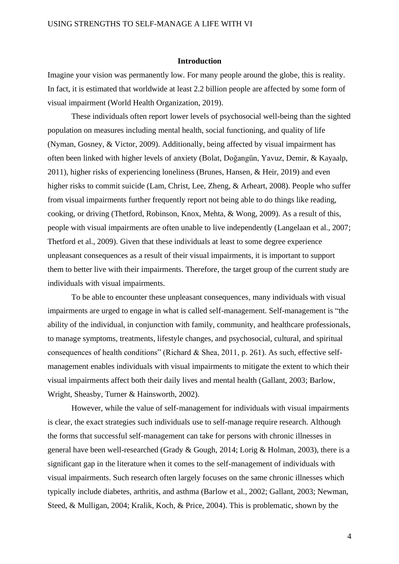### **Introduction**

<span id="page-3-0"></span>Imagine your vision was permanently low. For many people around the globe, this is reality. In fact, it is estimated that worldwide at least 2.2 billion people are affected by some form of visual impairment (World Health Organization, 2019).

These individuals often report lower levels of psychosocial well-being than the sighted population on measures including mental health, social functioning, and quality of life (Nyman, Gosney, & Victor, 2009). Additionally, being affected by visual impairment has often been linked with higher levels of anxiety (Bolat, Doğangün, Yavuz, Demir, & Kayaalp, 2011), higher risks of experiencing loneliness (Brunes, Hansen, & Heir, 2019) and even higher risks to commit suicide (Lam, Christ, Lee, Zheng, & Arheart, 2008). People who suffer from visual impairments further frequently report not being able to do things like reading, cooking, or driving (Thetford, Robinson, Knox, Mehta, & Wong, 2009). As a result of this, people with visual impairments are often unable to live independently (Langelaan et al., 2007; Thetford et al., 2009). Given that these individuals at least to some degree experience unpleasant consequences as a result of their visual impairments, it is important to support them to better live with their impairments. Therefore, the target group of the current study are individuals with visual impairments.

To be able to encounter these unpleasant consequences, many individuals with visual impairments are urged to engage in what is called self-management. Self-management is "the ability of the individual, in conjunction with family, community, and healthcare professionals, to manage symptoms, treatments, lifestyle changes, and psychosocial, cultural, and spiritual consequences of health conditions" (Richard & Shea, 2011, p. 261). As such, effective selfmanagement enables individuals with visual impairments to mitigate the extent to which their visual impairments affect both their daily lives and mental health (Gallant, 2003; Barlow, Wright, Sheasby, Turner & Hainsworth, 2002).

However, while the value of self-management for individuals with visual impairments is clear, the exact strategies such individuals use to self-manage require research. Although the forms that successful self-management can take for persons with chronic illnesses in general have been well-researched (Grady & Gough, 2014; Lorig & Holman, 2003), there is a significant gap in the literature when it comes to the self-management of individuals with visual impairments. Such research often largely focuses on the same chronic illnesses which typically include diabetes, arthritis, and asthma (Barlow et al., 2002; Gallant, 2003; Newman, Steed, & Mulligan, 2004; Kralik, Koch, & Price, 2004). This is problematic, shown by the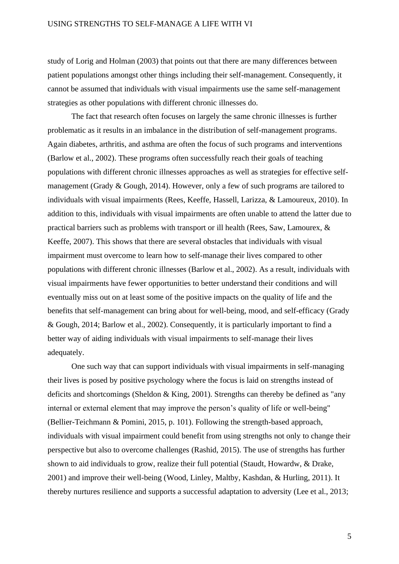study of Lorig and Holman (2003) that points out that there are many differences between patient populations amongst other things including their self-management. Consequently, it cannot be assumed that individuals with visual impairments use the same self-management strategies as other populations with different chronic illnesses do.

The fact that research often focuses on largely the same chronic illnesses is further problematic as it results in an imbalance in the distribution of self-management programs. Again diabetes, arthritis, and asthma are often the focus of such programs and interventions (Barlow et al., 2002). These programs often successfully reach their goals of teaching populations with different chronic illnesses approaches as well as strategies for effective selfmanagement (Grady & Gough, 2014). However, only a few of such programs are tailored to individuals with visual impairments (Rees, Keeffe, Hassell, Larizza, & Lamoureux, 2010). In addition to this, individuals with visual impairments are often unable to attend the latter due to practical barriers such as problems with transport or ill health (Rees, Saw, Lamourex, & Keeffe, 2007). This shows that there are several obstacles that individuals with visual impairment must overcome to learn how to self-manage their lives compared to other populations with different chronic illnesses (Barlow et al., 2002). As a result, individuals with visual impairments have fewer opportunities to better understand their conditions and will eventually miss out on at least some of the positive impacts on the quality of life and the benefits that self-management can bring about for well-being, mood, and self-efficacy (Grady & Gough, 2014; Barlow et al., 2002). Consequently, it is particularly important to find a better way of aiding individuals with visual impairments to self-manage their lives adequately.

One such way that can support individuals with visual impairments in self-managing their lives is posed by positive psychology where the focus is laid on strengths instead of deficits and shortcomings (Sheldon & King, 2001). Strengths can thereby be defined as "any internal or external element that may improve the person's quality of life or well-being" (Bellier-Teichmann & Pomini, 2015, p. 101). Following the strength-based approach, individuals with visual impairment could benefit from using strengths not only to change their perspective but also to overcome challenges (Rashid, 2015). The use of strengths has further shown to aid individuals to grow, realize their full potential (Staudt, Howardw, & Drake, 2001) and improve their well-being (Wood, Linley, Maltby, Kashdan, & Hurling, 2011). It thereby nurtures resilience and supports a successful adaptation to adversity (Lee et al., 2013;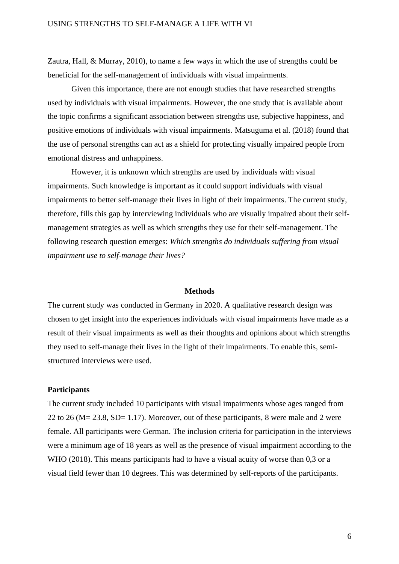Zautra, Hall, & Murray, 2010), to name a few ways in which the use of strengths could be beneficial for the self-management of individuals with visual impairments.

Given this importance, there are not enough studies that have researched strengths used by individuals with visual impairments. However, the one study that is available about the topic confirms a significant association between strengths use, subjective happiness, and positive emotions of individuals with visual impairments. Matsuguma et al. (2018) found that the use of personal strengths can act as a shield for protecting visually impaired people from emotional distress and unhappiness.

However, it is unknown which strengths are used by individuals with visual impairments. Such knowledge is important as it could support individuals with visual impairments to better self-manage their lives in light of their impairments. The current study, therefore, fills this gap by interviewing individuals who are visually impaired about their selfmanagement strategies as well as which strengths they use for their self-management. The following research question emerges: *Which strengths do individuals suffering from visual impairment use to self-manage their lives?*

#### **Methods**

<span id="page-5-0"></span>The current study was conducted in Germany in 2020. A qualitative research design was chosen to get insight into the experiences individuals with visual impairments have made as a result of their visual impairments as well as their thoughts and opinions about which strengths they used to self-manage their lives in the light of their impairments. To enable this, semistructured interviews were used.

### <span id="page-5-1"></span>**Participants**

The current study included 10 participants with visual impairments whose ages ranged from 22 to 26 (M= 23.8, SD= 1.17). Moreover, out of these participants, 8 were male and 2 were female. All participants were German. The inclusion criteria for participation in the interviews were a minimum age of 18 years as well as the presence of visual impairment according to the WHO (2018). This means participants had to have a visual acuity of worse than 0,3 or a visual field fewer than 10 degrees. This was determined by self-reports of the participants.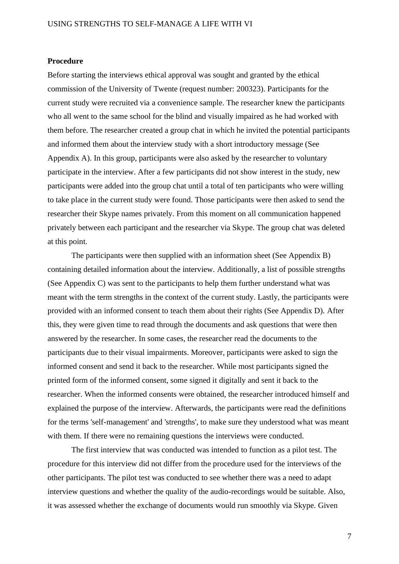### <span id="page-6-0"></span>**Procedure**

Before starting the interviews ethical approval was sought and granted by the ethical commission of the University of Twente (request number: 200323). Participants for the current study were recruited via a convenience sample. The researcher knew the participants who all went to the same school for the blind and visually impaired as he had worked with them before. The researcher created a group chat in which he invited the potential participants and informed them about the interview study with a short introductory message (See Appendix A). In this group, participants were also asked by the researcher to voluntary participate in the interview. After a few participants did not show interest in the study, new participants were added into the group chat until a total of ten participants who were willing to take place in the current study were found. Those participants were then asked to send the researcher their Skype names privately. From this moment on all communication happened privately between each participant and the researcher via Skype. The group chat was deleted at this point.

The participants were then supplied with an information sheet (See Appendix B) containing detailed information about the interview. Additionally, a list of possible strengths (See Appendix C) was sent to the participants to help them further understand what was meant with the term strengths in the context of the current study. Lastly, the participants were provided with an informed consent to teach them about their rights (See Appendix D). After this, they were given time to read through the documents and ask questions that were then answered by the researcher. In some cases, the researcher read the documents to the participants due to their visual impairments. Moreover, participants were asked to sign the informed consent and send it back to the researcher. While most participants signed the printed form of the informed consent, some signed it digitally and sent it back to the researcher. When the informed consents were obtained, the researcher introduced himself and explained the purpose of the interview. Afterwards, the participants were read the definitions for the terms 'self-management' and 'strengths', to make sure they understood what was meant with them. If there were no remaining questions the interviews were conducted.

The first interview that was conducted was intended to function as a pilot test. The procedure for this interview did not differ from the procedure used for the interviews of the other participants. The pilot test was conducted to see whether there was a need to adapt interview questions and whether the quality of the audio-recordings would be suitable. Also, it was assessed whether the exchange of documents would run smoothly via Skype. Given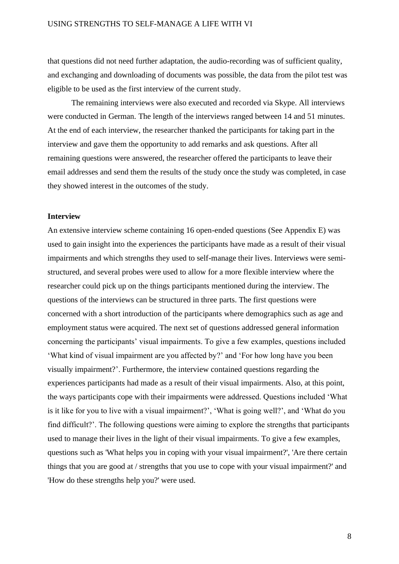that questions did not need further adaptation, the audio-recording was of sufficient quality, and exchanging and downloading of documents was possible, the data from the pilot test was eligible to be used as the first interview of the current study.

The remaining interviews were also executed and recorded via Skype. All interviews were conducted in German. The length of the interviews ranged between 14 and 51 minutes. At the end of each interview, the researcher thanked the participants for taking part in the interview and gave them the opportunity to add remarks and ask questions. After all remaining questions were answered, the researcher offered the participants to leave their email addresses and send them the results of the study once the study was completed, in case they showed interest in the outcomes of the study.

#### <span id="page-7-0"></span>**Interview**

An extensive interview scheme containing 16 open-ended questions (See Appendix E) was used to gain insight into the experiences the participants have made as a result of their visual impairments and which strengths they used to self-manage their lives. Interviews were semistructured, and several probes were used to allow for a more flexible interview where the researcher could pick up on the things participants mentioned during the interview. The questions of the interviews can be structured in three parts. The first questions were concerned with a short introduction of the participants where demographics such as age and employment status were acquired. The next set of questions addressed general information concerning the participants' visual impairments. To give a few examples, questions included 'What kind of visual impairment are you affected by?' and 'For how long have you been visually impairment?'. Furthermore, the interview contained questions regarding the experiences participants had made as a result of their visual impairments. Also, at this point, the ways participants cope with their impairments were addressed. Questions included 'What is it like for you to live with a visual impairment?', 'What is going well?', and 'What do you find difficult?'. The following questions were aiming to explore the strengths that participants used to manage their lives in the light of their visual impairments. To give a few examples, questions such as 'What helps you in coping with your visual impairment?', 'Are there certain things that you are good at / strengths that you use to cope with your visual impairment?' and 'How do these strengths help you?' were used.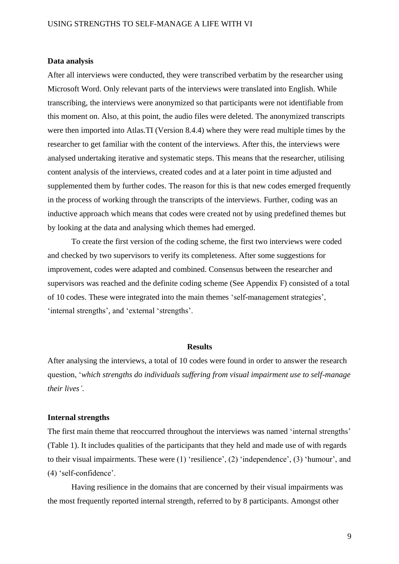### <span id="page-8-0"></span>**Data analysis**

After all interviews were conducted, they were transcribed verbatim by the researcher using Microsoft Word. Only relevant parts of the interviews were translated into English. While transcribing, the interviews were anonymized so that participants were not identifiable from this moment on. Also, at this point, the audio files were deleted. The anonymized transcripts were then imported into Atlas.TI (Version 8.4.4) where they were read multiple times by the researcher to get familiar with the content of the interviews. After this, the interviews were analysed undertaking iterative and systematic steps. This means that the researcher, utilising content analysis of the interviews, created codes and at a later point in time adjusted and supplemented them by further codes. The reason for this is that new codes emerged frequently in the process of working through the transcripts of the interviews. Further, coding was an inductive approach which means that codes were created not by using predefined themes but by looking at the data and analysing which themes had emerged.

To create the first version of the coding scheme, the first two interviews were coded and checked by two supervisors to verify its completeness. After some suggestions for improvement, codes were adapted and combined. Consensus between the researcher and supervisors was reached and the definite coding scheme (See Appendix F) consisted of a total of 10 codes. These were integrated into the main themes 'self-management strategies', 'internal strengths', and 'external 'strengths'.

### **Results**

<span id="page-8-1"></span>After analysing the interviews, a total of 10 codes were found in order to answer the research question, '*which strengths do individuals suffering from visual impairment use to self-manage their lives'*.

#### <span id="page-8-2"></span>**Internal strengths**

The first main theme that reoccurred throughout the interviews was named 'internal strengths' (Table 1). It includes qualities of the participants that they held and made use of with regards to their visual impairments. These were (1) 'resilience', (2) 'independence', (3) 'humour', and (4) 'self-confidence'.

Having resilience in the domains that are concerned by their visual impairments was the most frequently reported internal strength, referred to by 8 participants. Amongst other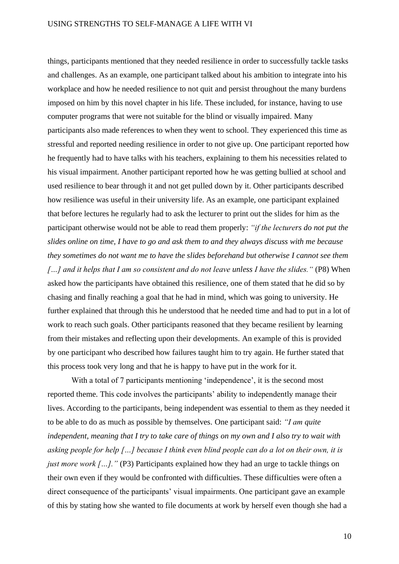things, participants mentioned that they needed resilience in order to successfully tackle tasks and challenges. As an example, one participant talked about his ambition to integrate into his workplace and how he needed resilience to not quit and persist throughout the many burdens imposed on him by this novel chapter in his life. These included, for instance, having to use computer programs that were not suitable for the blind or visually impaired. Many participants also made references to when they went to school. They experienced this time as stressful and reported needing resilience in order to not give up. One participant reported how he frequently had to have talks with his teachers, explaining to them his necessities related to his visual impairment. Another participant reported how he was getting bullied at school and used resilience to bear through it and not get pulled down by it. Other participants described how resilience was useful in their university life. As an example, one participant explained that before lectures he regularly had to ask the lecturer to print out the slides for him as the participant otherwise would not be able to read them properly: *"if the lecturers do not put the slides online on time, I have to go and ask them to and they always discuss with me because they sometimes do not want me to have the slides beforehand but otherwise I cannot see them […] and it helps that I am so consistent and do not leave unless I have the slides."* (P8) When asked how the participants have obtained this resilience, one of them stated that he did so by chasing and finally reaching a goal that he had in mind, which was going to university. He further explained that through this he understood that he needed time and had to put in a lot of work to reach such goals. Other participants reasoned that they became resilient by learning from their mistakes and reflecting upon their developments. An example of this is provided by one participant who described how failures taught him to try again. He further stated that this process took very long and that he is happy to have put in the work for it.

With a total of 7 participants mentioning 'independence', it is the second most reported theme. This code involves the participants' ability to independently manage their lives. According to the participants, being independent was essential to them as they needed it to be able to do as much as possible by themselves. One participant said: *"I am quite independent, meaning that I try to take care of things on my own and I also try to wait with asking people for help […] because I think even blind people can do a lot on their own, it is just more work […].*" (P3) Participants explained how they had an urge to tackle things on their own even if they would be confronted with difficulties. These difficulties were often a direct consequence of the participants' visual impairments. One participant gave an example of this by stating how she wanted to file documents at work by herself even though she had a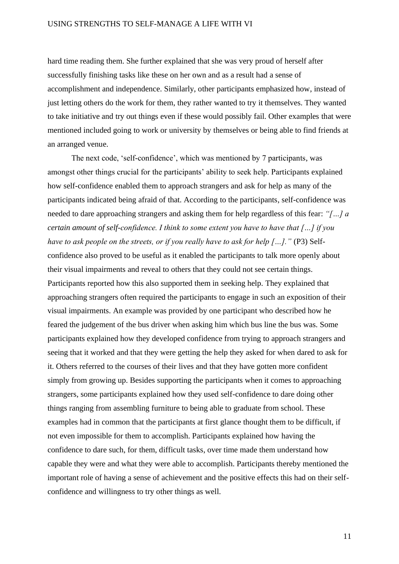hard time reading them. She further explained that she was very proud of herself after successfully finishing tasks like these on her own and as a result had a sense of accomplishment and independence. Similarly, other participants emphasized how, instead of just letting others do the work for them, they rather wanted to try it themselves. They wanted to take initiative and try out things even if these would possibly fail. Other examples that were mentioned included going to work or university by themselves or being able to find friends at an arranged venue.

The next code, 'self-confidence', which was mentioned by 7 participants, was amongst other things crucial for the participants' ability to seek help. Participants explained how self-confidence enabled them to approach strangers and ask for help as many of the participants indicated being afraid of that. According to the participants, self-confidence was needed to dare approaching strangers and asking them for help regardless of this fear: *"[…] a certain amount of self-confidence. I think to some extent you have to have that […] if you have to ask people on the streets, or if you really have to ask for help […]."* (P3) Selfconfidence also proved to be useful as it enabled the participants to talk more openly about their visual impairments and reveal to others that they could not see certain things. Participants reported how this also supported them in seeking help. They explained that approaching strangers often required the participants to engage in such an exposition of their visual impairments. An example was provided by one participant who described how he feared the judgement of the bus driver when asking him which bus line the bus was. Some participants explained how they developed confidence from trying to approach strangers and seeing that it worked and that they were getting the help they asked for when dared to ask for it. Others referred to the courses of their lives and that they have gotten more confident simply from growing up. Besides supporting the participants when it comes to approaching strangers, some participants explained how they used self-confidence to dare doing other things ranging from assembling furniture to being able to graduate from school. These examples had in common that the participants at first glance thought them to be difficult, if not even impossible for them to accomplish. Participants explained how having the confidence to dare such, for them, difficult tasks, over time made them understand how capable they were and what they were able to accomplish. Participants thereby mentioned the important role of having a sense of achievement and the positive effects this had on their selfconfidence and willingness to try other things as well.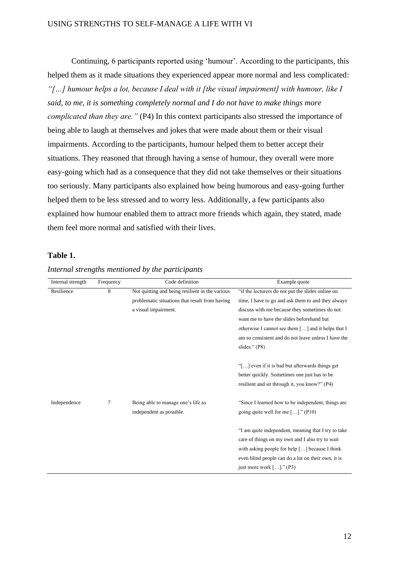Continuing, 6 participants reported using 'humour'. According to the participants, this helped them as it made situations they experienced appear more normal and less complicated: *"[…] humour helps a lot, because I deal with it [the visual impairment] with humour, like I said, to me, it is something completely normal and I do not have to make things more complicated than they are."* (P4) In this context participants also stressed the importance of being able to laugh at themselves and jokes that were made about them or their visual impairments. According to the participants, humour helped them to better accept their situations. They reasoned that through having a sense of humour, they overall were more easy-going which had as a consequence that they did not take themselves or their situations too seriously. Many participants also explained how being humorous and easy-going further helped them to be less stressed and to worry less. Additionally, a few participants also explained how humour enabled them to attract more friends which again, they stated, made them feel more normal and satisfied with their lives.

### **Table 1.**

| Internal strength | Frequency | Code definition                                 | Example quote                                         |
|-------------------|-----------|-------------------------------------------------|-------------------------------------------------------|
| Resilience        | 8         | Not quitting and being resilient in the various | "if the lecturers do not put the slides online on     |
|                   |           | problematic situations that result from having  | time, I have to go and ask them to and they always    |
|                   |           | a visual impairment.                            | discuss with me because they sometimes do not         |
|                   |           |                                                 | want me to have the slides beforehand but             |
|                   |           |                                                 | otherwise I cannot see them [] and it helps that I    |
|                   |           |                                                 | am so consistent and do not leave unless I have the   |
|                   |           |                                                 | slides." $(P8)$                                       |
|                   |           |                                                 | "[] even if it is bad but afterwards things get       |
|                   |           |                                                 | better quickly. Sometimes one just has to be          |
|                   |           |                                                 | resilient and sit through it, you know?" (P4)         |
| Independence      | 7         | Being able to manage one's life as              | "Since I learned how to be independent, things are    |
|                   |           | independent as possible.                        | going quite well for me $[]$ ." (P10)                 |
|                   |           |                                                 | "I am quite independent, meaning that I try to take   |
|                   |           |                                                 | care of things on my own and I also try to wait       |
|                   |           |                                                 | with asking people for help $[\dots]$ because I think |
|                   |           |                                                 | even blind people can do a lot on their own, it is    |
|                   |           |                                                 | just more work $[\dots]$ ." (P3)                      |

### *Internal strengths mentioned by the participants*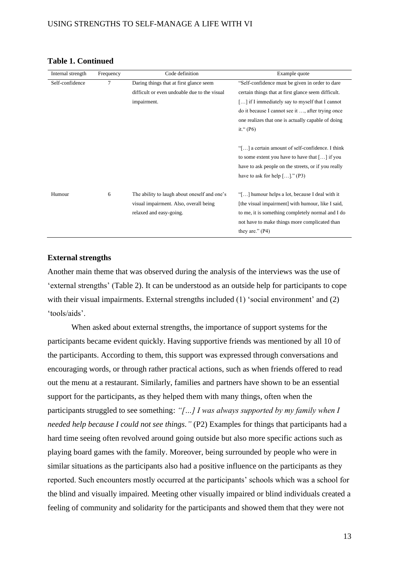| Internal strength | Frequency | Code definition                              | Example quote                                         |
|-------------------|-----------|----------------------------------------------|-------------------------------------------------------|
| Self-confidence   | 7         | Daring things that at first glance seem      | "Self-confidence must be given in order to dare       |
|                   |           | difficult or even undoable due to the visual | certain things that at first glance seem difficult.   |
|                   |           | impairment.                                  | [] if I immediately say to myself that I cannot       |
|                   |           |                                              | do it because I cannot see it , after trying once     |
|                   |           |                                              | one realizes that one is actually capable of doing    |
|                   |           |                                              | it." $(P6)$                                           |
|                   |           |                                              | "[] a certain amount of self-confidence. I think      |
|                   |           |                                              | to some extent you have to have that $[\dots]$ if you |
|                   |           |                                              | have to ask people on the streets, or if you really   |
|                   |           |                                              | have to ask for help $[\dots]$ ." (P3)                |
| Humour            | 6         | The ability to laugh about oneself and one's | "[] humour helps a lot, because I deal with it        |
|                   |           | visual impairment. Also, overall being       | [the visual impairment] with humour, like I said,     |
|                   |           | relaxed and easy-going.                      | to me, it is something completely normal and I do     |
|                   |           |                                              | not have to make things more complicated than         |
|                   |           |                                              | they are." $(P4)$                                     |

### **Table 1. Continued**

#### <span id="page-12-0"></span>**External strengths**

Another main theme that was observed during the analysis of the interviews was the use of 'external strengths' (Table 2). It can be understood as an outside help for participants to cope with their visual impairments. External strengths included (1) 'social environment' and (2) 'tools/aids'.

When asked about external strengths, the importance of support systems for the participants became evident quickly. Having supportive friends was mentioned by all 10 of the participants. According to them, this support was expressed through conversations and encouraging words, or through rather practical actions, such as when friends offered to read out the menu at a restaurant. Similarly, families and partners have shown to be an essential support for the participants, as they helped them with many things, often when the participants struggled to see something: *"[…] I was always supported by my family when I needed help because I could not see things."* (P2) Examples for things that participants had a hard time seeing often revolved around going outside but also more specific actions such as playing board games with the family. Moreover, being surrounded by people who were in similar situations as the participants also had a positive influence on the participants as they reported. Such encounters mostly occurred at the participants' schools which was a school for the blind and visually impaired. Meeting other visually impaired or blind individuals created a feeling of community and solidarity for the participants and showed them that they were not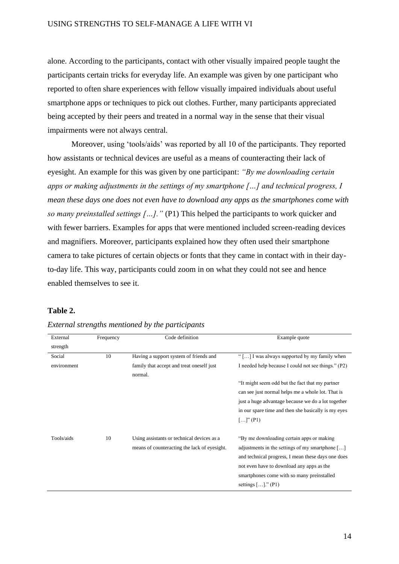alone. According to the participants, contact with other visually impaired people taught the participants certain tricks for everyday life. An example was given by one participant who reported to often share experiences with fellow visually impaired individuals about useful smartphone apps or techniques to pick out clothes. Further, many participants appreciated being accepted by their peers and treated in a normal way in the sense that their visual impairments were not always central.

Moreover, using 'tools/aids' was reported by all 10 of the participants. They reported how assistants or technical devices are useful as a means of counteracting their lack of eyesight. An example for this was given by one participant: *"By me downloading certain apps or making adjustments in the settings of my smartphone […] and technical progress, I mean these days one does not even have to download any apps as the smartphones come with so many preinstalled settings […]."* (P1) This helped the participants to work quicker and with fewer barriers. Examples for apps that were mentioned included screen-reading devices and magnifiers. Moreover, participants explained how they often used their smartphone camera to take pictures of certain objects or fonts that they came in contact with in their dayto-day life. This way, participants could zoom in on what they could not see and hence enabled themselves to see it.

### **Table 2.**

| External    | Frequency | Code definition                              | Example quote                                       |
|-------------|-----------|----------------------------------------------|-----------------------------------------------------|
| strength    |           |                                              |                                                     |
| Social      | 10        | Having a support system of friends and       | "[] I was always supported by my family when        |
| environment |           | family that accept and treat oneself just    | I needed help because I could not see things." (P2) |
|             |           | normal.                                      |                                                     |
|             |           |                                              | "It might seem odd but the fact that my partner"    |
|             |           |                                              | can see just normal helps me a whole lot. That is   |
|             |           |                                              | just a huge advantage because we do a lot together  |
|             |           |                                              | in our spare time and then she basically is my eyes |
|             |           |                                              | $[]$ " (P1)                                         |
| Tools/aids  | 10        | Using assistants or technical devices as a   | "By me downloading certain apps or making"          |
|             |           | means of counteracting the lack of eyesight. | adjustments in the settings of my smartphone []     |
|             |           |                                              | and technical progress, I mean these days one does  |
|             |           |                                              | not even have to download any apps as the           |
|             |           |                                              | smartphones come with so many preinstalled          |
|             |           |                                              | settings $[\ldots]$ ." (P1)                         |

### *External strengths mentioned by the participants*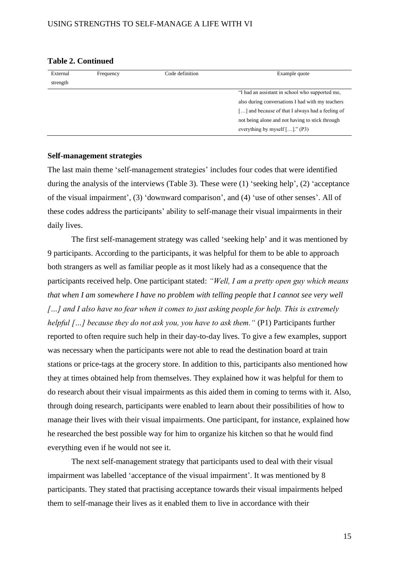| External | Frequency | Code definition | Example quote                                    |
|----------|-----------|-----------------|--------------------------------------------------|
| strength |           |                 |                                                  |
|          |           |                 | "I had an assistant in school who supported me,  |
|          |           |                 | also during conversations I had with my teachers |
|          |           |                 | [] and because of that I always had a feeling of |
|          |           |                 | not being alone and not having to stick through  |
|          |           |                 | everything by myself $[]$ . (P3)                 |

### **Table 2. Continued**

#### <span id="page-14-0"></span>**Self-management strategies**

The last main theme 'self-management strategies' includes four codes that were identified during the analysis of the interviews (Table 3). These were (1) 'seeking help', (2) 'acceptance of the visual impairment', (3) 'downward comparison', and (4) 'use of other senses'. All of these codes address the participants' ability to self-manage their visual impairments in their daily lives.

The first self-management strategy was called 'seeking help' and it was mentioned by 9 participants. According to the participants, it was helpful for them to be able to approach both strangers as well as familiar people as it most likely had as a consequence that the participants received help. One participant stated: *"Well, I am a pretty open guy which means that when I am somewhere I have no problem with telling people that I cannot see very well […] and I also have no fear when it comes to just asking people for help. This is extremely helpful […] because they do not ask you, you have to ask them."* (P1) Participants further reported to often require such help in their day-to-day lives. To give a few examples, support was necessary when the participants were not able to read the destination board at train stations or price-tags at the grocery store. In addition to this, participants also mentioned how they at times obtained help from themselves. They explained how it was helpful for them to do research about their visual impairments as this aided them in coming to terms with it. Also, through doing research, participants were enabled to learn about their possibilities of how to manage their lives with their visual impairments. One participant, for instance, explained how he researched the best possible way for him to organize his kitchen so that he would find everything even if he would not see it.

The next self-management strategy that participants used to deal with their visual impairment was labelled 'acceptance of the visual impairment'. It was mentioned by 8 participants. They stated that practising acceptance towards their visual impairments helped them to self-manage their lives as it enabled them to live in accordance with their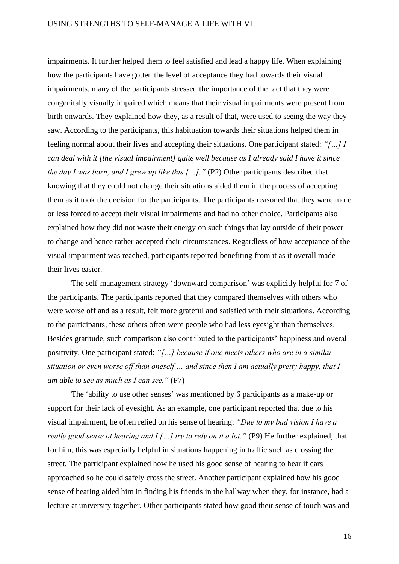impairments. It further helped them to feel satisfied and lead a happy life. When explaining how the participants have gotten the level of acceptance they had towards their visual impairments, many of the participants stressed the importance of the fact that they were congenitally visually impaired which means that their visual impairments were present from birth onwards. They explained how they, as a result of that, were used to seeing the way they saw. According to the participants, this habituation towards their situations helped them in feeling normal about their lives and accepting their situations. One participant stated: *"[…] I can deal with it [the visual impairment] quite well because as I already said I have it since the day I was born, and I grew up like this […]."* (P2) Other participants described that knowing that they could not change their situations aided them in the process of accepting them as it took the decision for the participants. The participants reasoned that they were more or less forced to accept their visual impairments and had no other choice. Participants also explained how they did not waste their energy on such things that lay outside of their power to change and hence rather accepted their circumstances. Regardless of how acceptance of the visual impairment was reached, participants reported benefiting from it as it overall made their lives easier.

The self-management strategy 'downward comparison' was explicitly helpful for 7 of the participants. The participants reported that they compared themselves with others who were worse off and as a result, felt more grateful and satisfied with their situations. According to the participants, these others often were people who had less eyesight than themselves. Besides gratitude, such comparison also contributed to the participants' happiness and overall positivity. One participant stated: *"[…] because if one meets others who are in a similar situation or even worse off than oneself … and since then I am actually pretty happy, that I am able to see as much as I can see."* (P7)

The 'ability to use other senses' was mentioned by 6 participants as a make-up or support for their lack of eyesight. As an example, one participant reported that due to his visual impairment, he often relied on his sense of hearing: *"Due to my bad vision I have a really good sense of hearing and I […] try to rely on it a lot."* (P9) He further explained, that for him, this was especially helpful in situations happening in traffic such as crossing the street. The participant explained how he used his good sense of hearing to hear if cars approached so he could safely cross the street. Another participant explained how his good sense of hearing aided him in finding his friends in the hallway when they, for instance, had a lecture at university together. Other participants stated how good their sense of touch was and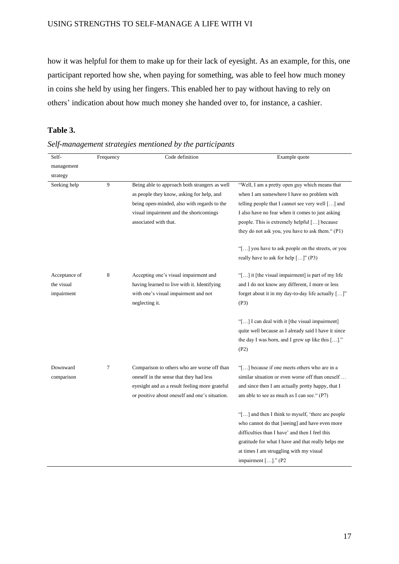how it was helpful for them to make up for their lack of eyesight. As an example, for this, one participant reported how she, when paying for something, was able to feel how much money in coins she held by using her fingers. This enabled her to pay without having to rely on others' indication about how much money she handed over to, for instance, a cashier.

### **Table 3.**

| Self-                                     | Frequency | Code definition                                                                                                                                                                                              | Example quote                                                                                                                                                                                                                                                                                                                                                                                          |
|-------------------------------------------|-----------|--------------------------------------------------------------------------------------------------------------------------------------------------------------------------------------------------------------|--------------------------------------------------------------------------------------------------------------------------------------------------------------------------------------------------------------------------------------------------------------------------------------------------------------------------------------------------------------------------------------------------------|
| management                                |           |                                                                                                                                                                                                              |                                                                                                                                                                                                                                                                                                                                                                                                        |
| strategy                                  |           |                                                                                                                                                                                                              |                                                                                                                                                                                                                                                                                                                                                                                                        |
| Seeking help                              | 9         | Being able to approach both strangers as well<br>as people they know, asking for help, and<br>being open-minded, also with regards to the<br>visual impairment and the shortcomings<br>associated with that. | "Well, I am a pretty open guy which means that<br>when I am somewhere I have no problem with<br>telling people that I cannot see very well [] and<br>I also have no fear when it comes to just asking<br>people. This is extremely helpful [] because<br>they do not ask you, you have to ask them." (P1)<br>"[] you have to ask people on the streets, or you<br>really have to ask for help []" (P3) |
| Acceptance of<br>the visual<br>impairment | 8         | Accepting one's visual impairment and<br>having learned to live with it. Identifying<br>with one's visual impairment and not<br>neglecting it.                                                               | "[] it [the visual impairment] is part of my life<br>and I do not know any different, I more or less<br>forget about it in my day-to-day life actually []"<br>(P3)<br>"[] I can deal with it [the visual impairment]<br>quite well because as I already said I have it since<br>the day I was born, and I grew up like this []."<br>(P2)                                                               |
| Downward<br>comparison                    | 7         | Comparison to others who are worse off than<br>oneself in the sense that they had less<br>eyesight and as a result feeling more grateful<br>or positive about oneself and one's situation.                   | "[] because if one meets others who are in a<br>similar situation or even worse off than oneself<br>and since then I am actually pretty happy, that I<br>am able to see as much as I can see." (P7)                                                                                                                                                                                                    |
|                                           |           |                                                                                                                                                                                                              | "[] and then I think to myself, 'there are people<br>who cannot do that [seeing] and have even more<br>difficulties than I have' and then I feel this<br>gratitude for what I have and that really helps me<br>at times I am struggling with my visual<br>impairment $[\dots]$ ." (P2                                                                                                                  |

| Self-management strategies mentioned by the participants |  |  |
|----------------------------------------------------------|--|--|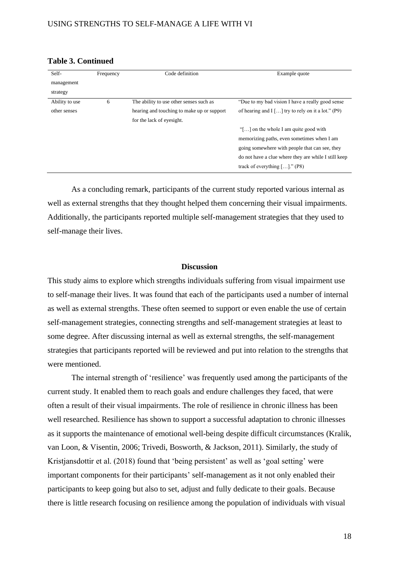| Self-          | Frequency | Code definition                            | Example quote                                        |
|----------------|-----------|--------------------------------------------|------------------------------------------------------|
| management     |           |                                            |                                                      |
| strategy       |           |                                            |                                                      |
| Ability to use | 6         | The ability to use other senses such as    | "Due to my bad vision I have a really good sense"    |
| other senses   |           | hearing and touching to make up or support | of hearing and $[I]$ try to rely on it a lot." (P9)  |
|                |           | for the lack of eyesight.                  |                                                      |
|                |           |                                            | "[] on the whole I am quite good with                |
|                |           |                                            | memorizing paths, even sometimes when I am           |
|                |           |                                            | going somewhere with people that can see, they       |
|                |           |                                            | do not have a clue where they are while I still keep |
|                |           |                                            | track of everything $[\dots]$ ." (P8)                |
|                |           |                                            |                                                      |

### **Table 3. Continued**

As a concluding remark, participants of the current study reported various internal as well as external strengths that they thought helped them concerning their visual impairments. Additionally, the participants reported multiple self-management strategies that they used to self-manage their lives.

#### **Discussion**

<span id="page-17-0"></span>This study aims to explore which strengths individuals suffering from visual impairment use to self-manage their lives. It was found that each of the participants used a number of internal as well as external strengths. These often seemed to support or even enable the use of certain self-management strategies, connecting strengths and self-management strategies at least to some degree. After discussing internal as well as external strengths, the self-management strategies that participants reported will be reviewed and put into relation to the strengths that were mentioned.

The internal strength of 'resilience' was frequently used among the participants of the current study. It enabled them to reach goals and endure challenges they faced, that were often a result of their visual impairments. The role of resilience in chronic illness has been well researched. Resilience has shown to support a successful adaptation to chronic illnesses as it supports the maintenance of emotional well-being despite difficult circumstances (Kralik, van Loon, & Visentin, 2006; Trivedi, Bosworth, & Jackson, 2011). Similarly, the study of Kristjansdottir et al. (2018) found that 'being persistent' as well as 'goal setting' were important components for their participants' self-management as it not only enabled their participants to keep going but also to set, adjust and fully dedicate to their goals. Because there is little research focusing on resilience among the population of individuals with visual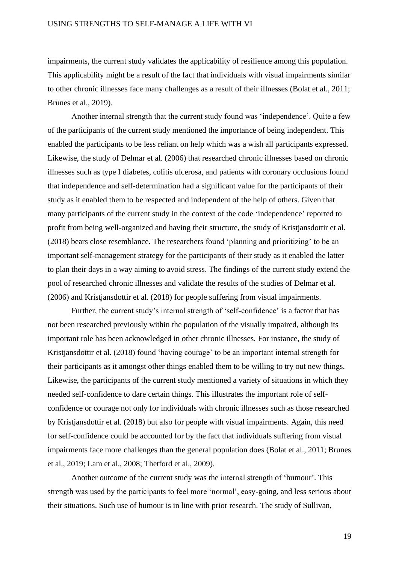impairments, the current study validates the applicability of resilience among this population. This applicability might be a result of the fact that individuals with visual impairments similar to other chronic illnesses face many challenges as a result of their illnesses (Bolat et al., 2011; Brunes et al., 2019).

Another internal strength that the current study found was 'independence'. Quite a few of the participants of the current study mentioned the importance of being independent. This enabled the participants to be less reliant on help which was a wish all participants expressed. Likewise, the study of Delmar et al. (2006) that researched chronic illnesses based on chronic illnesses such as type I diabetes, colitis ulcerosa, and patients with coronary occlusions found that independence and self-determination had a significant value for the participants of their study as it enabled them to be respected and independent of the help of others. Given that many participants of the current study in the context of the code 'independence' reported to profit from being well-organized and having their structure, the study of Kristjansdottir et al. (2018) bears close resemblance. The researchers found 'planning and prioritizing' to be an important self-management strategy for the participants of their study as it enabled the latter to plan their days in a way aiming to avoid stress. The findings of the current study extend the pool of researched chronic illnesses and validate the results of the studies of Delmar et al. (2006) and Kristjansdottir et al. (2018) for people suffering from visual impairments.

Further, the current study's internal strength of 'self-confidence' is a factor that has not been researched previously within the population of the visually impaired, although its important role has been acknowledged in other chronic illnesses. For instance, the study of Kristjansdottir et al. (2018) found 'having courage' to be an important internal strength for their participants as it amongst other things enabled them to be willing to try out new things. Likewise, the participants of the current study mentioned a variety of situations in which they needed self-confidence to dare certain things. This illustrates the important role of selfconfidence or courage not only for individuals with chronic illnesses such as those researched by Kristjansdottir et al. (2018) but also for people with visual impairments. Again, this need for self-confidence could be accounted for by the fact that individuals suffering from visual impairments face more challenges than the general population does (Bolat et al., 2011; Brunes et al., 2019; Lam et al., 2008; Thetford et al., 2009).

Another outcome of the current study was the internal strength of 'humour'. This strength was used by the participants to feel more 'normal', easy-going, and less serious about their situations. Such use of humour is in line with prior research. The study of Sullivan,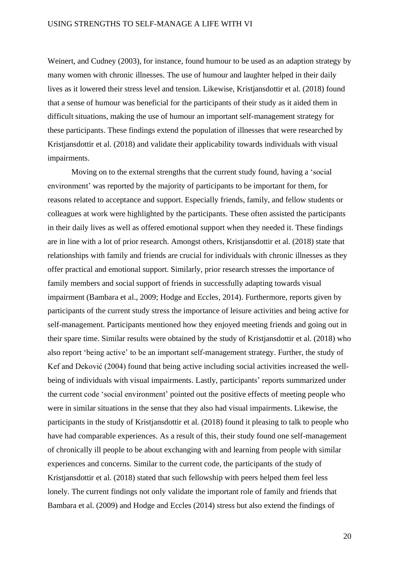Weinert, and Cudney (2003), for instance, found humour to be used as an adaption strategy by many women with chronic illnesses. The use of humour and laughter helped in their daily lives as it lowered their stress level and tension. Likewise, Kristjansdottir et al. (2018) found that a sense of humour was beneficial for the participants of their study as it aided them in difficult situations, making the use of humour an important self-management strategy for these participants. These findings extend the population of illnesses that were researched by Kristjansdottir et al. (2018) and validate their applicability towards individuals with visual impairments.

Moving on to the external strengths that the current study found, having a 'social environment' was reported by the majority of participants to be important for them, for reasons related to acceptance and support. Especially friends, family, and fellow students or colleagues at work were highlighted by the participants. These often assisted the participants in their daily lives as well as offered emotional support when they needed it. These findings are in line with a lot of prior research. Amongst others, Kristjansdottir et al. (2018) state that relationships with family and friends are crucial for individuals with chronic illnesses as they offer practical and emotional support. Similarly, prior research stresses the importance of family members and social support of friends in successfully adapting towards visual impairment (Bambara et al., 2009; Hodge and Eccles, 2014). Furthermore, reports given by participants of the current study stress the importance of leisure activities and being active for self-management. Participants mentioned how they enjoyed meeting friends and going out in their spare time. Similar results were obtained by the study of Kristjansdottir et al. (2018) who also report 'being active' to be an important self-management strategy. Further, the study of Kef and Deković (2004) found that being active including social activities increased the wellbeing of individuals with visual impairments. Lastly, participants' reports summarized under the current code 'social environment' pointed out the positive effects of meeting people who were in similar situations in the sense that they also had visual impairments. Likewise, the participants in the study of Kristjansdottir et al. (2018) found it pleasing to talk to people who have had comparable experiences. As a result of this, their study found one self-management of chronically ill people to be about exchanging with and learning from people with similar experiences and concerns. Similar to the current code, the participants of the study of Kristjansdottir et al. (2018) stated that such fellowship with peers helped them feel less lonely. The current findings not only validate the important role of family and friends that Bambara et al. (2009) and Hodge and Eccles (2014) stress but also extend the findings of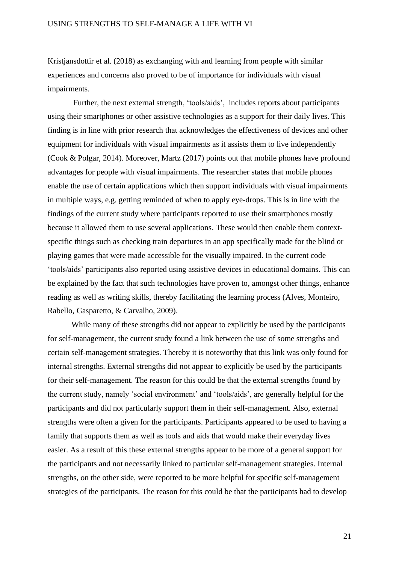Kristjansdottir et al. (2018) as exchanging with and learning from people with similar experiences and concerns also proved to be of importance for individuals with visual impairments.

Further, the next external strength, 'tools/aids', includes reports about participants using their smartphones or other assistive technologies as a support for their daily lives. This finding is in line with prior research that acknowledges the effectiveness of devices and other equipment for individuals with visual impairments as it assists them to live independently (Cook & Polgar, 2014). Moreover, Martz (2017) points out that mobile phones have profound advantages for people with visual impairments. The researcher states that mobile phones enable the use of certain applications which then support individuals with visual impairments in multiple ways, e.g. getting reminded of when to apply eye-drops. This is in line with the findings of the current study where participants reported to use their smartphones mostly because it allowed them to use several applications. These would then enable them contextspecific things such as checking train departures in an app specifically made for the blind or playing games that were made accessible for the visually impaired. In the current code 'tools/aids' participants also reported using assistive devices in educational domains. This can be explained by the fact that such technologies have proven to, amongst other things, enhance reading as well as writing skills, thereby facilitating the learning process (Alves, Monteiro, Rabello, Gasparetto, & Carvalho, 2009).

While many of these strengths did not appear to explicitly be used by the participants for self-management, the current study found a link between the use of some strengths and certain self-management strategies. Thereby it is noteworthy that this link was only found for internal strengths. External strengths did not appear to explicitly be used by the participants for their self-management. The reason for this could be that the external strengths found by the current study, namely 'social environment' and 'tools/aids', are generally helpful for the participants and did not particularly support them in their self-management. Also, external strengths were often a given for the participants. Participants appeared to be used to having a family that supports them as well as tools and aids that would make their everyday lives easier. As a result of this these external strengths appear to be more of a general support for the participants and not necessarily linked to particular self-management strategies. Internal strengths, on the other side, were reported to be more helpful for specific self-management strategies of the participants. The reason for this could be that the participants had to develop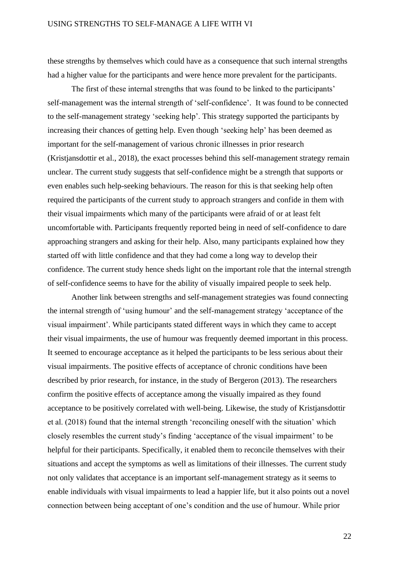these strengths by themselves which could have as a consequence that such internal strengths had a higher value for the participants and were hence more prevalent for the participants.

The first of these internal strengths that was found to be linked to the participants' self-management was the internal strength of 'self-confidence'. It was found to be connected to the self-management strategy 'seeking help'. This strategy supported the participants by increasing their chances of getting help. Even though 'seeking help' has been deemed as important for the self-management of various chronic illnesses in prior research (Kristjansdottir et al., 2018), the exact processes behind this self-management strategy remain unclear. The current study suggests that self-confidence might be a strength that supports or even enables such help-seeking behaviours. The reason for this is that seeking help often required the participants of the current study to approach strangers and confide in them with their visual impairments which many of the participants were afraid of or at least felt uncomfortable with. Participants frequently reported being in need of self-confidence to dare approaching strangers and asking for their help. Also, many participants explained how they started off with little confidence and that they had come a long way to develop their confidence. The current study hence sheds light on the important role that the internal strength of self-confidence seems to have for the ability of visually impaired people to seek help.

Another link between strengths and self-management strategies was found connecting the internal strength of 'using humour' and the self-management strategy 'acceptance of the visual impairment'. While participants stated different ways in which they came to accept their visual impairments, the use of humour was frequently deemed important in this process. It seemed to encourage acceptance as it helped the participants to be less serious about their visual impairments. The positive effects of acceptance of chronic conditions have been described by prior research, for instance, in the study of Bergeron (2013). The researchers confirm the positive effects of acceptance among the visually impaired as they found acceptance to be positively correlated with well-being. Likewise, the study of Kristjansdottir et al. (2018) found that the internal strength 'reconciling oneself with the situation' which closely resembles the current study's finding 'acceptance of the visual impairment' to be helpful for their participants. Specifically, it enabled them to reconcile themselves with their situations and accept the symptoms as well as limitations of their illnesses. The current study not only validates that acceptance is an important self-management strategy as it seems to enable individuals with visual impairments to lead a happier life, but it also points out a novel connection between being acceptant of one's condition and the use of humour. While prior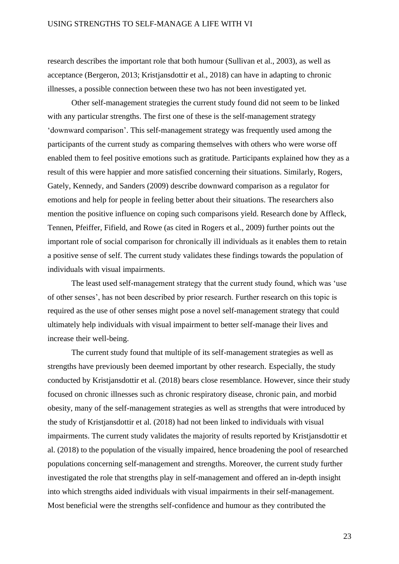research describes the important role that both humour (Sullivan et al., 2003), as well as acceptance (Bergeron, 2013; Kristjansdottir et al., 2018) can have in adapting to chronic illnesses, a possible connection between these two has not been investigated yet.

Other self-management strategies the current study found did not seem to be linked with any particular strengths. The first one of these is the self-management strategy 'downward comparison'. This self-management strategy was frequently used among the participants of the current study as comparing themselves with others who were worse off enabled them to feel positive emotions such as gratitude. Participants explained how they as a result of this were happier and more satisfied concerning their situations. Similarly, Rogers, Gately, Kennedy, and Sanders (2009) describe downward comparison as a regulator for emotions and help for people in feeling better about their situations. The researchers also mention the positive influence on coping such comparisons yield. Research done by Affleck, Tennen, Pfeiffer, Fifield, and Rowe (as cited in Rogers et al., 2009) further points out the important role of social comparison for chronically ill individuals as it enables them to retain a positive sense of self. The current study validates these findings towards the population of individuals with visual impairments.

The least used self-management strategy that the current study found, which was 'use of other senses', has not been described by prior research. Further research on this topic is required as the use of other senses might pose a novel self-management strategy that could ultimately help individuals with visual impairment to better self-manage their lives and increase their well-being.

The current study found that multiple of its self-management strategies as well as strengths have previously been deemed important by other research. Especially, the study conducted by Kristjansdottir et al. (2018) bears close resemblance. However, since their study focused on chronic illnesses such as chronic respiratory disease, chronic pain, and morbid obesity, many of the self-management strategies as well as strengths that were introduced by the study of Kristjansdottir et al. (2018) had not been linked to individuals with visual impairments. The current study validates the majority of results reported by Kristjansdottir et al. (2018) to the population of the visually impaired, hence broadening the pool of researched populations concerning self-management and strengths. Moreover, the current study further investigated the role that strengths play in self-management and offered an in-depth insight into which strengths aided individuals with visual impairments in their self-management. Most beneficial were the strengths self-confidence and humour as they contributed the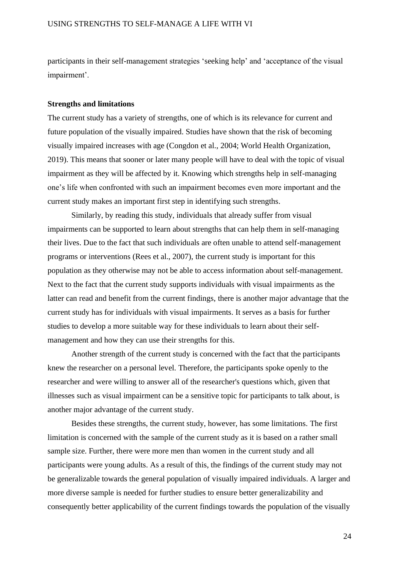participants in their self-management strategies 'seeking help' and 'acceptance of the visual impairment'.

### <span id="page-23-0"></span>**Strengths and limitations**

The current study has a variety of strengths, one of which is its relevance for current and future population of the visually impaired. Studies have shown that the risk of becoming visually impaired increases with age (Congdon et al., 2004; World Health Organization, 2019). This means that sooner or later many people will have to deal with the topic of visual impairment as they will be affected by it. Knowing which strengths help in self-managing one's life when confronted with such an impairment becomes even more important and the current study makes an important first step in identifying such strengths.

Similarly, by reading this study, individuals that already suffer from visual impairments can be supported to learn about strengths that can help them in self-managing their lives. Due to the fact that such individuals are often unable to attend self-management programs or interventions (Rees et al., 2007), the current study is important for this population as they otherwise may not be able to access information about self-management. Next to the fact that the current study supports individuals with visual impairments as the latter can read and benefit from the current findings, there is another major advantage that the current study has for individuals with visual impairments. It serves as a basis for further studies to develop a more suitable way for these individuals to learn about their selfmanagement and how they can use their strengths for this.

Another strength of the current study is concerned with the fact that the participants knew the researcher on a personal level. Therefore, the participants spoke openly to the researcher and were willing to answer all of the researcher's questions which, given that illnesses such as visual impairment can be a sensitive topic for participants to talk about, is another major advantage of the current study.

Besides these strengths, the current study, however, has some limitations. The first limitation is concerned with the sample of the current study as it is based on a rather small sample size. Further, there were more men than women in the current study and all participants were young adults. As a result of this, the findings of the current study may not be generalizable towards the general population of visually impaired individuals. A larger and more diverse sample is needed for further studies to ensure better generalizability and consequently better applicability of the current findings towards the population of the visually

24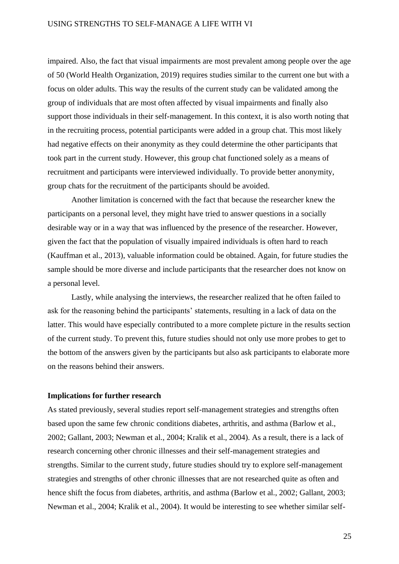impaired. Also, the fact that visual impairments are most prevalent among people over the age of 50 (World Health Organization, 2019) requires studies similar to the current one but with a focus on older adults. This way the results of the current study can be validated among the group of individuals that are most often affected by visual impairments and finally also support those individuals in their self-management. In this context, it is also worth noting that in the recruiting process, potential participants were added in a group chat. This most likely had negative effects on their anonymity as they could determine the other participants that took part in the current study. However, this group chat functioned solely as a means of recruitment and participants were interviewed individually. To provide better anonymity, group chats for the recruitment of the participants should be avoided.

Another limitation is concerned with the fact that because the researcher knew the participants on a personal level, they might have tried to answer questions in a socially desirable way or in a way that was influenced by the presence of the researcher. However, given the fact that the population of visually impaired individuals is often hard to reach (Kauffman et al., 2013), valuable information could be obtained. Again, for future studies the sample should be more diverse and include participants that the researcher does not know on a personal level.

Lastly, while analysing the interviews, the researcher realized that he often failed to ask for the reasoning behind the participants' statements, resulting in a lack of data on the latter. This would have especially contributed to a more complete picture in the results section of the current study. To prevent this, future studies should not only use more probes to get to the bottom of the answers given by the participants but also ask participants to elaborate more on the reasons behind their answers.

#### <span id="page-24-0"></span>**Implications for further research**

As stated previously, several studies report self-management strategies and strengths often based upon the same few chronic conditions diabetes, arthritis, and asthma (Barlow et al., 2002; Gallant, 2003; Newman et al., 2004; Kralik et al., 2004). As a result, there is a lack of research concerning other chronic illnesses and their self-management strategies and strengths. Similar to the current study, future studies should try to explore self-management strategies and strengths of other chronic illnesses that are not researched quite as often and hence shift the focus from diabetes, arthritis, and asthma (Barlow et al., 2002; Gallant, 2003; Newman et al., 2004; Kralik et al., 2004). It would be interesting to see whether similar self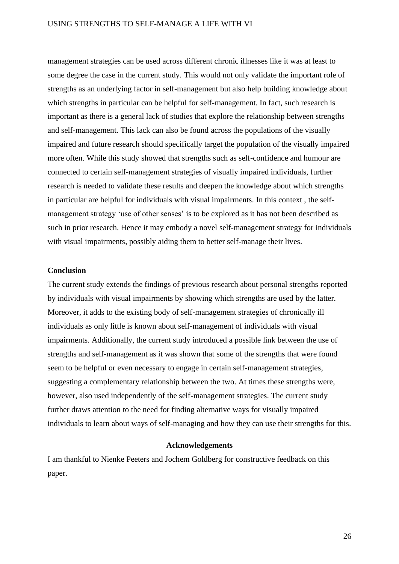management strategies can be used across different chronic illnesses like it was at least to some degree the case in the current study. This would not only validate the important role of strengths as an underlying factor in self-management but also help building knowledge about which strengths in particular can be helpful for self-management. In fact, such research is important as there is a general lack of studies that explore the relationship between strengths and self-management. This lack can also be found across the populations of the visually impaired and future research should specifically target the population of the visually impaired more often. While this study showed that strengths such as self-confidence and humour are connected to certain self-management strategies of visually impaired individuals, further research is needed to validate these results and deepen the knowledge about which strengths in particular are helpful for individuals with visual impairments. In this context , the selfmanagement strategy 'use of other senses' is to be explored as it has not been described as such in prior research. Hence it may embody a novel self-management strategy for individuals with visual impairments, possibly aiding them to better self-manage their lives.

### <span id="page-25-0"></span>**Conclusion**

The current study extends the findings of previous research about personal strengths reported by individuals with visual impairments by showing which strengths are used by the latter. Moreover, it adds to the existing body of self-management strategies of chronically ill individuals as only little is known about self-management of individuals with visual impairments. Additionally, the current study introduced a possible link between the use of strengths and self-management as it was shown that some of the strengths that were found seem to be helpful or even necessary to engage in certain self-management strategies, suggesting a complementary relationship between the two. At times these strengths were, however, also used independently of the self-management strategies. The current study further draws attention to the need for finding alternative ways for visually impaired individuals to learn about ways of self-managing and how they can use their strengths for this.

#### **Acknowledgements**

<span id="page-25-1"></span>I am thankful to Nienke Peeters and Jochem Goldberg for constructive feedback on this paper.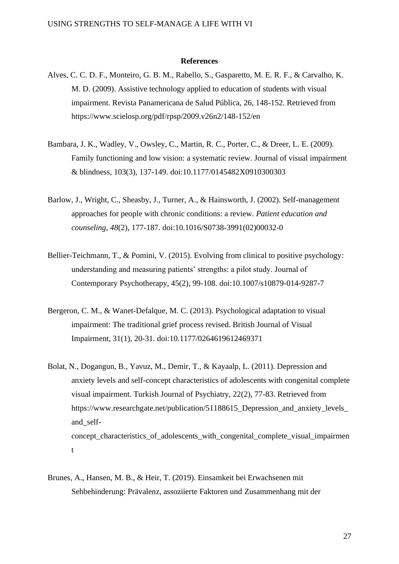#### **References**

- <span id="page-26-0"></span>Alves, C. C. D. F., Monteiro, G. B. M., Rabello, S., Gasparetto, M. E. R. F., & Carvalho, K. M. D. (2009). Assistive technology applied to education of students with visual impairment. Revista Panamericana de Salud Pública, 26, 148-152. Retrieved from https://www.scielosp.org/pdf/rpsp/2009.v26n2/148-152/en
- Bambara, J. K., Wadley, V., Owsley, C., Martin, R. C., Porter, C., & Dreer, L. E. (2009). Family functioning and low vision: a systematic review. Journal of visual impairment & blindness, 103(3), 137-149. doi:10.1177/0145482X0910300303
- Barlow, J., Wright, C., Sheasby, J., Turner, A., & Hainsworth, J. (2002). Self-management approaches for people with chronic conditions: a review. *Patient education and counseling*, *48*(2), 177-187. doi:10.1016/S0738-3991(02)00032-0
- Bellier-Teichmann, T., & Pomini, V. (2015). Evolving from clinical to positive psychology: understanding and measuring patients' strengths: a pilot study. Journal of Contemporary Psychotherapy, 45(2), 99-108. doi:10.1007/s10879-014-9287-7
- Bergeron, C. M., & Wanet-Defalque, M. C. (2013). Psychological adaptation to visual impairment: The traditional grief process revised. British Journal of Visual Impairment, 31(1), 20-31. doi:10.1177/0264619612469371
- Bolat, N., Dogangun, B., Yavuz, M., Demir, T., & Kayaalp, L. (2011). Depression and anxiety levels and self-concept characteristics of adolescents with congenital complete visual impairment. Turkish Journal of Psychiatry, 22(2), 77-83. Retrieved from https://www.researchgate.net/publication/51188615\_Depression\_and\_anxiety\_levels\_ and\_selfconcept characteristics of adolescents with congenital complete visual impairmen t
- Brunes, A., Hansen, M. B., & Heir, T. (2019). Einsamkeit bei Erwachsenen mit Sehbehinderung: Prävalenz, assoziierte Faktoren und Zusammenhang mit der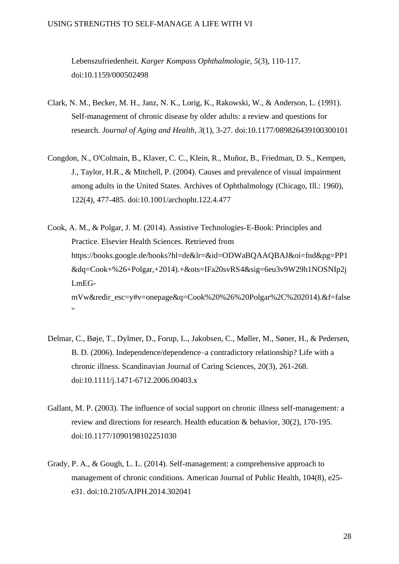Lebenszufriedenheit. *Karger Kompass Ophthalmologie*, *5*(3), 110-117. doi:10.1159/000502498

- Clark, N. M., Becker, M. H., Janz, N. K., Lorig, K., Rakowski, W., & Anderson, L. (1991). Self-management of chronic disease by older adults: a review and questions for research. *Journal of Aging and Health*, *3*(1), 3-27. doi:10.1177/089826439100300101
- Congdon, N., O'Colmain, B., Klaver, C. C., Klein, R., Muñoz, B., Friedman, D. S., Kempen, J., Taylor, H.R., & Mitchell, P. (2004). Causes and prevalence of visual impairment among adults in the United States. Archives of Ophthalmology (Chicago, Ill.: 1960), 122(4), 477-485. doi:10.1001/archopht.122.4.477
- Cook, A. M., & Polgar, J. M. (2014). Assistive Technologies-E-Book: Principles and Practice. Elsevier Health Sciences. Retrieved from https://books.google.de/books?hl=de&lr=&id=ODWaBQAAQBAJ&oi=fnd&pg=PP1 &dq=Cook+%26+Polgar,+2014).+&ots=IFa20svRS4&sig=6eu3v9W29h1NOSNIp2j LmEGmVw&redir\_esc=y#v=onepage&q=Cook%20%26%20Polgar%2C%202014).&f=false "
- Delmar, C., Bøje, T., Dylmer, D., Forup, L., Jakobsen, C., Møller, M., Søner, H., & Pedersen, B. D. (2006). Independence/dependence–a contradictory relationship? Life with a chronic illness. Scandinavian Journal of Caring Sciences, 20(3), 261-268. doi:10.1111/j.1471-6712.2006.00403.x
- Gallant, M. P. (2003). The influence of social support on chronic illness self-management: a review and directions for research. Health education & behavior, 30(2), 170-195. doi:10.1177/1090198102251030
- Grady, P. A., & Gough, L. L. (2014). Self-management: a comprehensive approach to management of chronic conditions. American Journal of Public Health, 104(8), e25 e31. doi:10.2105/AJPH.2014.302041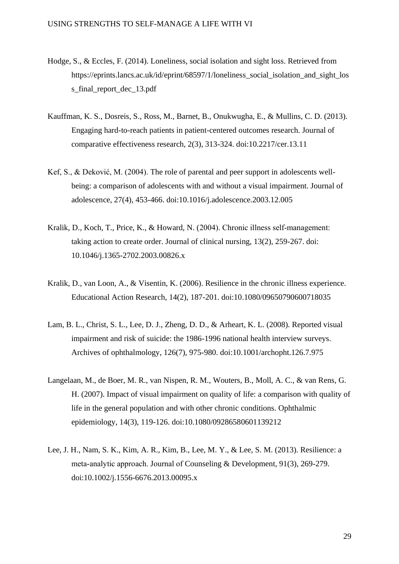- Hodge, S., & Eccles, F. (2014). Loneliness, social isolation and sight loss. Retrieved from https://eprints.lancs.ac.uk/id/eprint/68597/1/loneliness\_social\_isolation\_and\_sight\_los s\_final\_report\_dec\_13.pdf
- Kauffman, K. S., Dosreis, S., Ross, M., Barnet, B., Onukwugha, E., & Mullins, C. D. (2013). Engaging hard-to-reach patients in patient-centered outcomes research. Journal of comparative effectiveness research, 2(3), 313-324. doi:10.2217/cer.13.11
- Kef, S., & Deković, M. (2004). The role of parental and peer support in adolescents wellbeing: a comparison of adolescents with and without a visual impairment. Journal of adolescence, 27(4), 453-466. doi:10.1016/j.adolescence.2003.12.005
- Kralik, D., Koch, T., Price, K., & Howard, N. (2004). Chronic illness self-management: taking action to create order. Journal of clinical nursing, 13(2), 259-267. doi: 10.1046/j.1365-2702.2003.00826.x
- Kralik, D., van Loon, A., & Visentin, K. (2006). Resilience in the chronic illness experience. Educational Action Research, 14(2), 187-201. doi:10.1080/09650790600718035
- Lam, B. L., Christ, S. L., Lee, D. J., Zheng, D. D., & Arheart, K. L. (2008). Reported visual impairment and risk of suicide: the 1986-1996 national health interview surveys. Archives of ophthalmology, 126(7), 975-980. doi:10.1001/archopht.126.7.975
- Langelaan, M., de Boer, M. R., van Nispen, R. M., Wouters, B., Moll, A. C., & van Rens, G. H. (2007). Impact of visual impairment on quality of life: a comparison with quality of life in the general population and with other chronic conditions. Ophthalmic epidemiology, 14(3), 119-126. doi:10.1080/09286580601139212
- Lee, J. H., Nam, S. K., Kim, A. R., Kim, B., Lee, M. Y., & Lee, S. M. (2013). Resilience: a meta‐analytic approach. Journal of Counseling & Development, 91(3), 269-279. doi:10.1002/j.1556-6676.2013.00095.x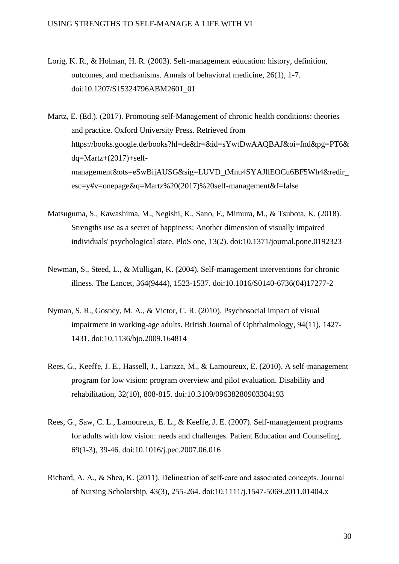- Lorig, K. R., & Holman, H. R. (2003). Self-management education: history, definition, outcomes, and mechanisms. Annals of behavioral medicine, 26(1), 1-7. doi:10.1207/S15324796ABM2601\_01
- Martz, E. (Ed.). (2017). Promoting self-Management of chronic health conditions: theories and practice. Oxford University Press. Retrieved from https://books.google.de/books?hl=de&lr=&id=sYwtDwAAQBAJ&oi=fnd&pg=PT6&  $dq = Martz + (2017) + self$ management&ots=eSwBijAUSG&sig=LUVD\_tMnu4SYAJllEOCu6BF5Wh4&redir\_ esc=y#v=onepage&q=Martz%20(2017)%20self-management&f=false
- Matsuguma, S., Kawashima, M., Negishi, K., Sano, F., Mimura, M., & Tsubota, K. (2018). Strengths use as a secret of happiness: Another dimension of visually impaired individuals' psychological state. PloS one, 13(2). doi:10.1371/journal.pone.0192323
- Newman, S., Steed, L., & Mulligan, K. (2004). Self-management interventions for chronic illness. The Lancet, 364(9444), 1523-1537. doi:10.1016/S0140-6736(04)17277-2
- Nyman, S. R., Gosney, M. A., & Victor, C. R. (2010). Psychosocial impact of visual impairment in working-age adults. British Journal of Ophthalmology, 94(11), 1427- 1431. doi:10.1136/bjo.2009.164814
- Rees, G., Keeffe, J. E., Hassell, J., Larizza, M., & Lamoureux, E. (2010). A self-management program for low vision: program overview and pilot evaluation. Disability and rehabilitation, 32(10), 808-815. doi:10.3109/09638280903304193
- Rees, G., Saw, C. L., Lamoureux, E. L., & Keeffe, J. E. (2007). Self-management programs for adults with low vision: needs and challenges. Patient Education and Counseling, 69(1-3), 39-46. doi:10.1016/j.pec.2007.06.016
- Richard, A. A., & Shea, K. (2011). Delineation of self‐care and associated concepts. Journal of Nursing Scholarship, 43(3), 255-264. doi:10.1111/j.1547-5069.2011.01404.x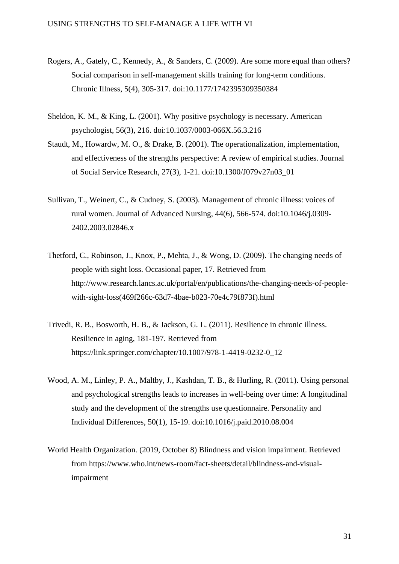- Rogers, A., Gately, C., Kennedy, A., & Sanders, C. (2009). Are some more equal than others? Social comparison in self-management skills training for long-term conditions. Chronic Illness, 5(4), 305-317. doi:10.1177/1742395309350384
- Sheldon, K. M., & King, L. (2001). Why positive psychology is necessary. American psychologist, 56(3), 216. doi:10.1037/0003-066X.56.3.216
- Staudt, M., Howardw, M. O., & Drake, B. (2001). The operationalization, implementation, and effectiveness of the strengths perspective: A review of empirical studies. Journal of Social Service Research, 27(3), 1-21. doi:10.1300/J079v27n03\_01
- Sullivan, T., Weinert, C., & Cudney, S. (2003). Management of chronic illness: voices of rural women. Journal of Advanced Nursing, 44(6), 566-574. doi:10.1046/j.0309- 2402.2003.02846.x
- Thetford, C., Robinson, J., Knox, P., Mehta, J., & Wong, D. (2009). The changing needs of people with sight loss. Occasional paper, 17. Retrieved from http://www.research.lancs.ac.uk/portal/en/publications/the-changing-needs-of-peoplewith-sight-loss(469f266c-63d7-4bae-b023-70e4c79f873f).html
- Trivedi, R. B., Bosworth, H. B., & Jackson, G. L. (2011). Resilience in chronic illness. Resilience in aging, 181-197. Retrieved from https://link.springer.com/chapter/10.1007/978-1-4419-0232-0\_12
- Wood, A. M., Linley, P. A., Maltby, J., Kashdan, T. B., & Hurling, R. (2011). Using personal and psychological strengths leads to increases in well-being over time: A longitudinal study and the development of the strengths use questionnaire. Personality and Individual Differences, 50(1), 15-19. doi:10.1016/j.paid.2010.08.004
- World Health Organization. (2019, October 8) Blindness and vision impairment. Retrieved from https://www.who.int/news-room/fact-sheets/detail/blindness-and-visualimpairment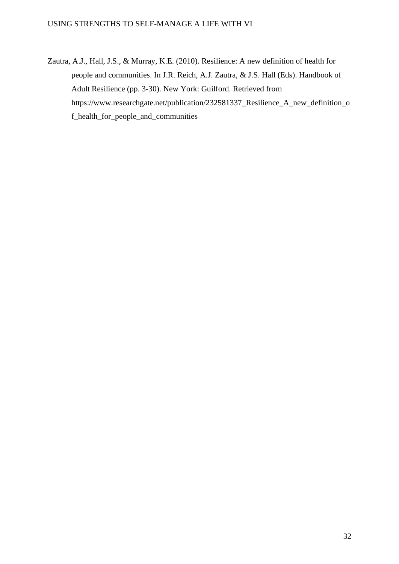Zautra, A.J., Hall, J.S., & Murray, K.E. (2010). Resilience: A new definition of health for people and communities. In J.R. Reich, A.J. Zautra, & J.S. Hall (Eds). Handbook of Adult Resilience (pp. 3-30). New York: Guilford. Retrieved from https://www.researchgate.net/publication/232581337\_Resilience\_A\_new\_definition\_o f\_health\_for\_people\_and\_communities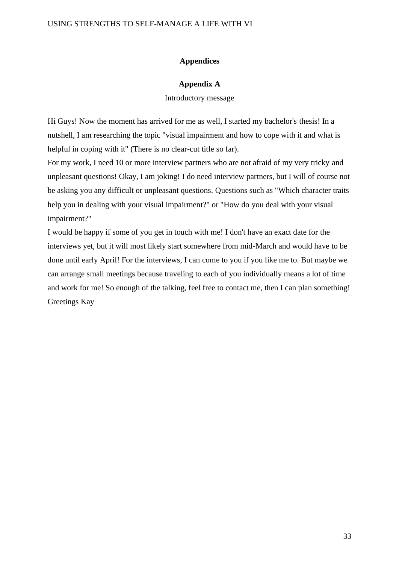### **Appendices**

### **Appendix A**

### Introductory message

<span id="page-32-0"></span>Hi Guys! Now the moment has arrived for me as well, I started my bachelor's thesis! In a nutshell, I am researching the topic "visual impairment and how to cope with it and what is helpful in coping with it" (There is no clear-cut title so far).

For my work, I need 10 or more interview partners who are not afraid of my very tricky and unpleasant questions! Okay, I am joking! I do need interview partners, but I will of course not be asking you any difficult or unpleasant questions. Questions such as "Which character traits help you in dealing with your visual impairment?" or "How do you deal with your visual impairment?"

I would be happy if some of you get in touch with me! I don't have an exact date for the interviews yet, but it will most likely start somewhere from mid-March and would have to be done until early April! For the interviews, I can come to you if you like me to. But maybe we can arrange small meetings because traveling to each of you individually means a lot of time and work for me! So enough of the talking, feel free to contact me, then I can plan something! Greetings Kay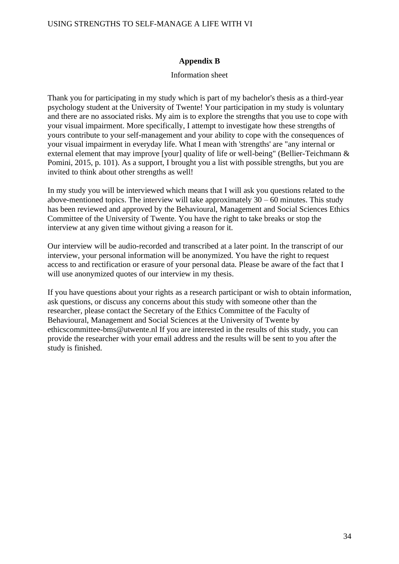### **Appendix B**

### Information sheet

Thank you for participating in my study which is part of my bachelor's thesis as a third-year psychology student at the University of Twente! Your participation in my study is voluntary and there are no associated risks. My aim is to explore the strengths that you use to cope with your visual impairment. More specifically, I attempt to investigate how these strengths of yours contribute to your self-management and your ability to cope with the consequences of your visual impairment in everyday life. What I mean with 'strengths' are "any internal or external element that may improve [your] quality of life or well-being" (Bellier-Teichmann & Pomini, 2015, p. 101). As a support, I brought you a list with possible strengths, but you are invited to think about other strengths as well!

In my study you will be interviewed which means that I will ask you questions related to the above-mentioned topics. The interview will take approximately  $30 - 60$  minutes. This study has been reviewed and approved by the Behavioural, Management and Social Sciences Ethics Committee of the University of Twente. You have the right to take breaks or stop the interview at any given time without giving a reason for it.

Our interview will be audio-recorded and transcribed at a later point. In the transcript of our interview, your personal information will be anonymized. You have the right to request access to and rectification or erasure of your personal data. Please be aware of the fact that I will use anonymized quotes of our interview in my thesis.

If you have questions about your rights as a research participant or wish to obtain information, ask questions, or discuss any concerns about this study with someone other than the researcher, please contact the Secretary of the Ethics Committee of the Faculty of Behavioural, Management and Social Sciences at the University of Twente by ethicscommittee-bms@utwente.nl If you are interested in the results of this study, you can provide the researcher with your email address and the results will be sent to you after the study is finished.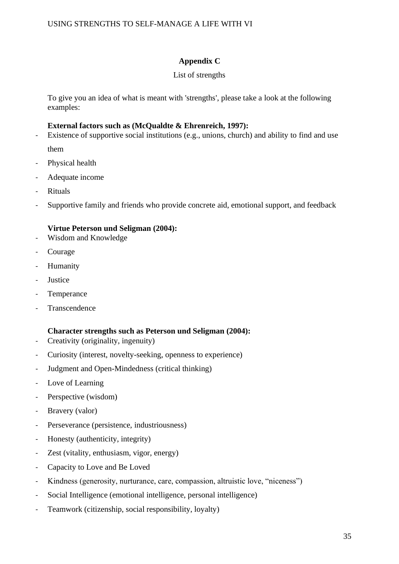### **Appendix C**

### List of strengths

To give you an idea of what is meant with 'strengths', please take a look at the following examples:

### **External factors such as (McQualdte & Ehrenreich, 1997):**

- Existence of supportive social institutions (e.g., unions, church) and ability to find and use them
- Physical health
- Adequate income
- Rituals
- Supportive family and friends who provide concrete aid, emotional support, and feedback

### **Virtue Peterson und Seligman (2004):**

- Wisdom and Knowledge
- Courage
- Humanity
- **Justice**
- Temperance
- **Transcendence**

### **Character strengths such as Peterson und Seligman (2004):**

- Creativity (originality, ingenuity)
- Curiosity (interest, novelty-seeking, openness to experience)
- Judgment and Open-Mindedness (critical thinking)
- Love of Learning
- Perspective (wisdom)
- Bravery (valor)
- Perseverance (persistence, industriousness)
- Honesty (authenticity, integrity)
- Zest (vitality, enthusiasm, vigor, energy)
- Capacity to Love and Be Loved
- Kindness (generosity, nurturance, care, compassion, altruistic love, "niceness")
- Social Intelligence (emotional intelligence, personal intelligence)
- Teamwork (citizenship, social responsibility, loyalty)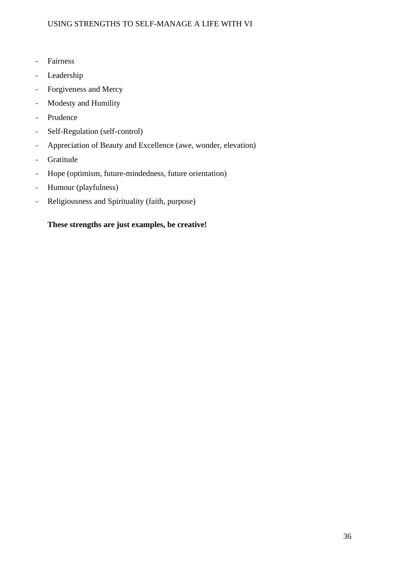- Fairness
- Leadership
- Forgiveness and Mercy
- Modesty and Humility
- Prudence
- Self-Regulation (self-control)
- Appreciation of Beauty and Excellence (awe, wonder, elevation)
- Gratitude
- Hope (optimism, future-mindedness, future orientation)
- Humour (playfulness)
- Religiousness and Spirituality (faith, purpose)

## **These strengths are just examples, be creative!**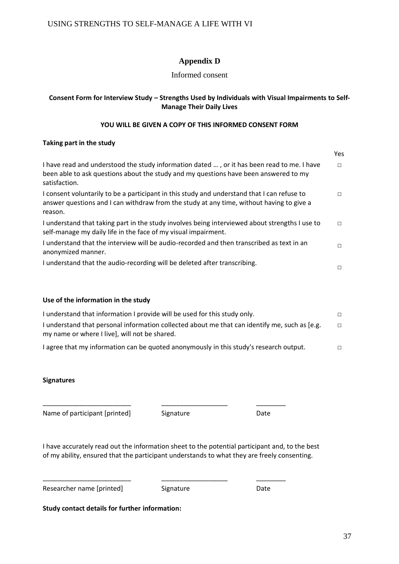### **Appendix D**

### Informed consent

### **Consent Form for Interview Study – Strengths Used by Individuals with Visual Impairments to Self-Manage Their Daily Lives**

### **YOU WILL BE GIVEN A COPY OF THIS INFORMED CONSENT FORM**

### **Taking part in the study**

|                                                                                                                                                                                                     | Yes    |
|-----------------------------------------------------------------------------------------------------------------------------------------------------------------------------------------------------|--------|
| I have read and understood the study information dated , or it has been read to me. I have<br>been able to ask questions about the study and my questions have been answered to my<br>satisfaction. | П      |
| I consent voluntarily to be a participant in this study and understand that I can refuse to<br>answer questions and I can withdraw from the study at any time, without having to give a<br>reason.  | П      |
| I understand that taking part in the study involves being interviewed about strengths I use to<br>self-manage my daily life in the face of my visual impairment.                                    | $\Box$ |
| I understand that the interview will be audio-recorded and then transcribed as text in an<br>anonymized manner.                                                                                     | П      |
| I understand that the audio-recording will be deleted after transcribing.                                                                                                                           | П      |

### **Use of the information in the study**

| I understand that information I provide will be used for this study only.                                                                     | п      |
|-----------------------------------------------------------------------------------------------------------------------------------------------|--------|
| I understand that personal information collected about me that can identify me, such as [e.g.<br>my name or where I live, will not be shared. | $\Box$ |
| I agree that my information can be quoted anonymously in this study's research output.                                                        | П      |

### **Signatures**

Name of participant [printed] Signature Date

\_\_\_\_\_\_\_\_\_\_\_\_\_\_\_\_\_\_\_\_\_\_\_\_ \_\_\_\_\_\_\_\_\_\_\_\_\_\_\_\_\_\_ \_\_\_\_\_\_\_\_

I have accurately read out the information sheet to the potential participant and, to the best of my ability, ensured that the participant understands to what they are freely consenting.

| Researcher name [printed] |  |
|---------------------------|--|
|                           |  |

Signature **Date** 

\_\_\_\_\_\_\_\_\_\_\_\_\_\_\_\_\_\_\_\_\_\_\_\_ \_\_\_\_\_\_\_\_\_\_\_\_\_\_\_\_\_\_ \_\_\_\_\_\_\_\_

**Study contact details for further information:**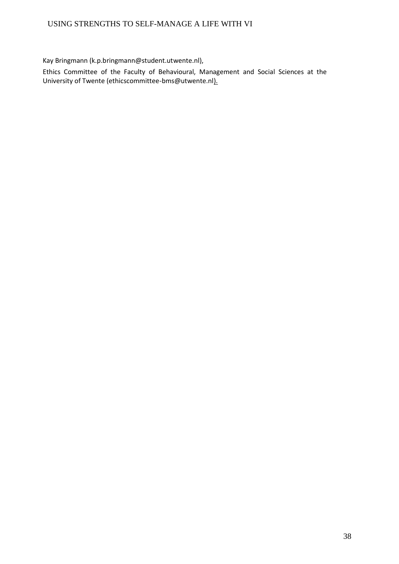Kay Bringmann (k.p.bringmann@student.utwente.nl),

Ethics Committee of the Faculty of Behavioural, Management and Social Sciences at the University of Twente (ethicscommittee-bms@utwente.nl).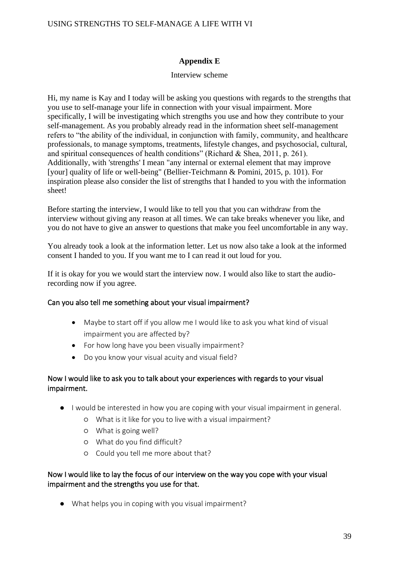### **Appendix E**

### Interview scheme

Hi, my name is Kay and I today will be asking you questions with regards to the strengths that you use to self-manage your life in connection with your visual impairment. More specifically, I will be investigating which strengths you use and how they contribute to your self-management. As you probably already read in the information sheet self-management refers to "the ability of the individual, in conjunction with family, community, and healthcare professionals, to manage symptoms, treatments, lifestyle changes, and psychosocial, cultural, and spiritual consequences of health conditions" (Richard & Shea, 2011, p. 261). Additionally, with 'strengths' I mean "any internal or external element that may improve [your] quality of life or well-being" (Bellier-Teichmann & Pomini, 2015, p. 101). For inspiration please also consider the list of strengths that I handed to you with the information sheet!

Before starting the interview, I would like to tell you that you can withdraw from the interview without giving any reason at all times. We can take breaks whenever you like, and you do not have to give an answer to questions that make you feel uncomfortable in any way.

You already took a look at the information letter. Let us now also take a look at the informed consent I handed to you. If you want me to I can read it out loud for you.

If it is okay for you we would start the interview now. I would also like to start the audiorecording now if you agree.

### Can you also tell me something about your visual impairment?

- Maybe to start off if you allow me I would like to ask you what kind of visual impairment you are affected by?
- For how long have you been visually impairment?
- Do you know your visual acuity and visual field?

### Now I would like to ask you to talk about your experiences with regards to your visual impairment.

- I would be interested in how you are coping with your visual impairment in general.
	- What is it like for you to live with a visual impairment?
	- What is going well?
	- What do you find difficult?
	- Could you tell me more about that?

### Now I would like to lay the focus of our interview on the way you cope with your visual impairment and the strengths you use for that.

● What helps you in coping with you visual impairment?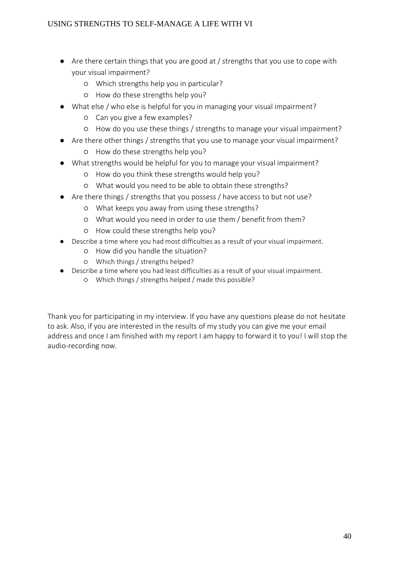- Are there certain things that you are good at / strengths that you use to cope with your visual impairment?
	- Which strengths help you in particular?
	- How do these strengths help you?
- What else / who else is helpful for you in managing your visual impairment?
	- Can you give a few examples?
	- How do you use these things / strengths to manage your visual impairment?
- Are there other things / strengths that you use to manage your visual impairment? ○ How do these strengths help you?
- What strengths would be helpful for you to manage your visual impairment?
	- How do you think these strengths would help you?
	- What would you need to be able to obtain these strengths?
- Are there things / strengths that you possess / have access to but not use?
	- What keeps you away from using these strengths?
	- What would you need in order to use them / benefit from them?
	- How could these strengths help you?
- Describe a time where you had most difficulties as a result of your visual impairment.
	- How did you handle the situation?
	- Which things / strengths helped?
- Describe a time where you had least difficulties as a result of your visual impairment.
	- Which things / strengths helped / made this possible?

Thank you for participating in my interview. If you have any questions please do not hesitate to ask. Also, if you are interested in the results of my study you can give me your email address and once I am finished with my report I am happy to forward it to you! I will stop the audio-recording now.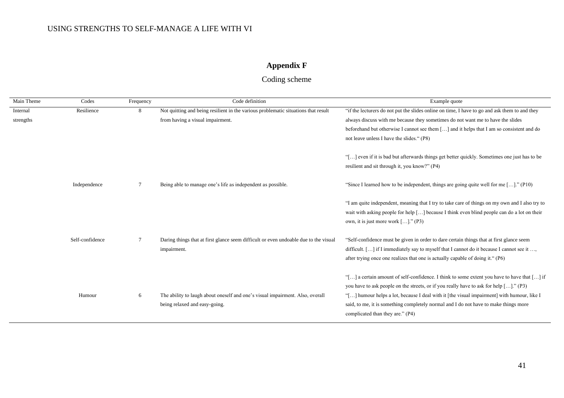# **Appendix F**

# Coding scheme

| Main Theme | Codes           | Frequency | Code definition                                                                      | Example quote                                                                                                                              |
|------------|-----------------|-----------|--------------------------------------------------------------------------------------|--------------------------------------------------------------------------------------------------------------------------------------------|
| Internal   | Resilience      | 8         | Not quitting and being resilient in the various problematic situations that result   | "if the lecturers do not put the slides online on time, I have to go and ask them to and they                                              |
| strengths  |                 |           | from having a visual impairment.                                                     | always discuss with me because they sometimes do not want me to have the slides                                                            |
|            |                 |           |                                                                                      | beforehand but otherwise I cannot see them [] and it helps that I am so consistent and do                                                  |
|            |                 |           |                                                                                      | not leave unless I have the slides." (P8)                                                                                                  |
|            |                 |           |                                                                                      | "[] even if it is bad but afterwards things get better quickly. Sometimes one just has to be                                               |
|            |                 |           |                                                                                      | resilient and sit through it, you know?" (P4)                                                                                              |
|            | Independence    | 7         | Being able to manage one's life as independent as possible.                          | "Since I learned how to be independent, things are going quite well for me $[\dots]$ ." (P10)                                              |
|            |                 |           |                                                                                      | "I am quite independent, meaning that I try to take care of things on my own and I also try to                                             |
|            |                 |           |                                                                                      | wait with asking people for help [] because I think even blind people can do a lot on their<br>own, it is just more work $[\dots]$ ." (P3) |
|            | Self-confidence | 7         | Daring things that at first glance seem difficult or even undoable due to the visual | "Self-confidence must be given in order to dare certain things that at first glance seem                                                   |
|            |                 |           | impairment.                                                                          | difficult. [] if I immediately say to myself that I cannot do it because I cannot see it ,                                                 |
|            |                 |           |                                                                                      | after trying once one realizes that one is actually capable of doing it." (P6)                                                             |
|            |                 |           |                                                                                      | "[] a certain amount of self-confidence. I think to some extent you have to have that [] if                                                |
|            |                 |           |                                                                                      | you have to ask people on the streets, or if you really have to ask for help []." (P3)                                                     |
|            | Humour          | 6         | The ability to laugh about oneself and one's visual impairment. Also, overall        | "[] humour helps a lot, because I deal with it [the visual impairment] with humour, like I                                                 |
|            |                 |           | being relaxed and easy-going.                                                        | said, to me, it is something completely normal and I do not have to make things more                                                       |
|            |                 |           |                                                                                      | complicated than they are." (P4)                                                                                                           |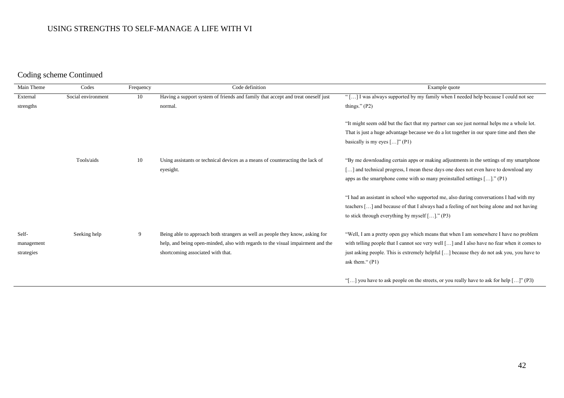# Coding scheme Continued

| Main Theme                        | Codes              | Frequency | Code definition                                                                                                                                                                                       | Example quote                                                                                                                                                                                                                                                                                                |
|-----------------------------------|--------------------|-----------|-------------------------------------------------------------------------------------------------------------------------------------------------------------------------------------------------------|--------------------------------------------------------------------------------------------------------------------------------------------------------------------------------------------------------------------------------------------------------------------------------------------------------------|
| External<br>strengths             | Social environment | 10        | Having a support system of friends and family that accept and treat oneself just<br>normal.                                                                                                           | "[] I was always supported by my family when I needed help because I could not see<br>things." $(P2)$                                                                                                                                                                                                        |
|                                   |                    |           |                                                                                                                                                                                                       | "It might seem odd but the fact that my partner can see just normal helps me a whole lot.<br>That is just a huge advantage because we do a lot together in our spare time and then she<br>basically is my eyes []" (P1)                                                                                      |
|                                   | Tools/aids         | 10        | Using assistants or technical devices as a means of counteracting the lack of<br>eyesight.                                                                                                            | "By me downloading certain apps or making adjustments in the settings of my smartphone<br>[] and technical progress, I mean these days one does not even have to download any<br>apps as the smartphone come with so many preinstalled settings $[]$ ." (P1)                                                 |
|                                   |                    |           |                                                                                                                                                                                                       | "I had an assistant in school who supported me, also during conversations I had with my<br>teachers [] and because of that I always had a feeling of not being alone and not having<br>to stick through everything by myself $[]$ ." (P3)                                                                    |
| Self-<br>management<br>strategies | Seeking help       | 9         | Being able to approach both strangers as well as people they know, asking for<br>help, and being open-minded, also with regards to the visual impairment and the<br>shortcoming associated with that. | "Well, I am a pretty open guy which means that when I am somewhere I have no problem<br>with telling people that I cannot see very well $[\dots]$ and I also have no fear when it comes to<br>just asking people. This is extremely helpful [] because they do not ask you, you have to<br>ask them." $(P1)$ |
|                                   |                    |           |                                                                                                                                                                                                       | "[] you have to ask people on the streets, or you really have to ask for help $[]$ " (P3)                                                                                                                                                                                                                    |